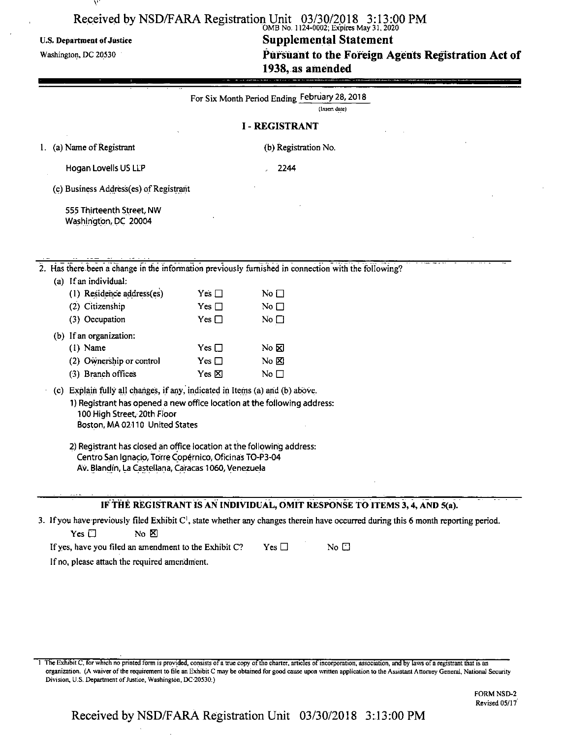# Received by NSD/FARA Registration Unit 03/30/2018 3:13:00 PM<br>
OMB No. 1124-0002; Expires May 31, 2020

# U.S. Department of Justice **Supplemental Statement** Washington, dc <sup>20530</sup> **Pursuant to the Foreign Agents Registration Act of 1938, as amended**

|    |                                                                                                                                                                                                                           |                    | For Six Month Period Ending February 28, 2018 |                                                                                                                                                |
|----|---------------------------------------------------------------------------------------------------------------------------------------------------------------------------------------------------------------------------|--------------------|-----------------------------------------------|------------------------------------------------------------------------------------------------------------------------------------------------|
|    |                                                                                                                                                                                                                           |                    |                                               | (lnsert date)                                                                                                                                  |
|    |                                                                                                                                                                                                                           |                    | <b>I-REGISTRANT</b>                           |                                                                                                                                                |
| 1. | (a) Name of Registrant                                                                                                                                                                                                    |                    | (b) Registration No.                          |                                                                                                                                                |
|    | Hogan Lovells US LLP                                                                                                                                                                                                      |                    | 2244                                          |                                                                                                                                                |
|    | (c) Business Address(es) of Registrant                                                                                                                                                                                    |                    |                                               |                                                                                                                                                |
|    | 555 Thirteenth Street, NW<br>Washington, DC 20004                                                                                                                                                                         |                    |                                               |                                                                                                                                                |
|    | 2. Has there been a change in the information previously furnished in connection with the following?                                                                                                                      |                    |                                               |                                                                                                                                                |
|    | (a) If an individual:                                                                                                                                                                                                     |                    |                                               |                                                                                                                                                |
|    | (1) Residence address(es)                                                                                                                                                                                                 | Yes $\Box$         | No $\square$                                  |                                                                                                                                                |
|    | (2) Citizenship                                                                                                                                                                                                           | Yes $\Box$         | No $\Box$                                     |                                                                                                                                                |
|    | (3) Occupation                                                                                                                                                                                                            | Yes $\Box$         | No $\square$                                  |                                                                                                                                                |
|    | (b) If an organization:                                                                                                                                                                                                   |                    |                                               |                                                                                                                                                |
|    | $(1)$ Name                                                                                                                                                                                                                | $Yes \Box$         | No ⊠                                          |                                                                                                                                                |
|    | (2) Ownership or control                                                                                                                                                                                                  | $Yes \Box$         | No &                                          |                                                                                                                                                |
|    | (3) Branch offices                                                                                                                                                                                                        | Yes <sup>[X]</sup> | No $\square$                                  |                                                                                                                                                |
|    | (c) Explain fully all changes, if any, indicated in Items (a) and (b) above.<br>1) Registrant has opened a new office location at the following address:<br>100 High Street, 20th Floor<br>Boston, MA 02110 United States |                    |                                               |                                                                                                                                                |
|    | 2) Registrant has closed an office location at the following address:<br>Centro San Ignacio, Torre Copérnico, Oficinas TO-P3-04<br>Av. Blandín, La Castellana, Caracas 1060, Venezuela                                    |                    |                                               |                                                                                                                                                |
|    |                                                                                                                                                                                                                           |                    |                                               | IF THE REGISTRANT IS AN INDIVIDUAL, OMIT RESPONSE TO ITEMS 3, 4, AND 5(a).                                                                     |
|    |                                                                                                                                                                                                                           |                    |                                               | 3. If you have previously filed Exhibit C <sup>1</sup> , state whether any changes therein have occurred during this 6 month reporting period. |
|    | Yes $\square$<br>No M                                                                                                                                                                                                     |                    |                                               |                                                                                                                                                |
|    | If yes, have you filed an amendment to the Exhibit C?                                                                                                                                                                     |                    | Yes $\Box$                                    | No $\Box$                                                                                                                                      |
|    | If no, please attach the required amendment.                                                                                                                                                                              |                    |                                               |                                                                                                                                                |

1 The Exhibit C, for which no printed form is provided, consists of a true copy of the charter, articles of incorporation, association, and by laws of a registrant that is an organization. (A waiver of the requirement to file an Exhibit C may be obtained for good cause upon written application to the Assistant Attorney General, National Security Division, U.S. Department of Justice, Washington, DC-20530.)

> FORM NSD-2 Revised 05/17'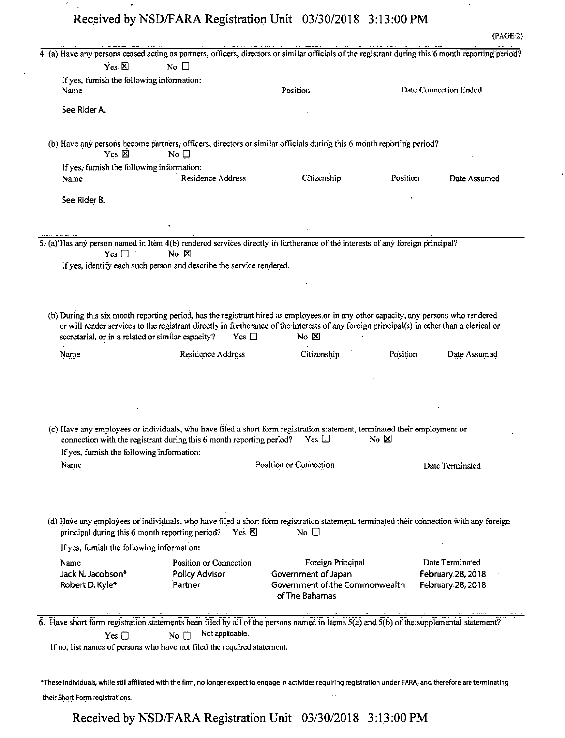$\epsilon$ 

 $\ddot{\phantom{a}}$ 

 $\cdot$ 

 $\epsilon$ 

| If yes, furnish the following information:<br>Position<br>Name<br>See Rider A.<br>(b) Have any persons become partners, officers, directors or similar officials during this 6 month reporting period?<br>Yes $\boxtimes$<br>No $\square$<br>If yes, furnish the following information:<br>Residence Address<br>Citizenship<br>Position<br>Name<br>See Rider B.<br>5. (a) Has any person named in Item 4(b) rendered services directly in furtherance of the interests of any foreign principal?<br>Yes $\Box$<br>$No$ $\nabla$<br>If yes, identify each such person and describe the service rendered.<br>(b) During this six month reporting period, has the registrant hired as employees or in any other capacity, any persons who rendered<br>or will render services to the registrant directly in furtherance of the interests of any foreign principal(s) in other than a clerical or<br>secretarial, or in a related or similar capacity?<br>Yes $\Box$<br>No $\boxtimes$<br>Residence Address<br>Citizenship<br>Position<br>Name<br>(c) Have any employees or individuals, who have filed a short form registration statement, terminated their employment or<br>connection with the registrant during this 6 month reporting period?<br>Yes $\square$<br>No ⊠<br>If yes, furnish the following information:<br>Position or Connection<br>Name<br>(d) Have any employees or individuals, who have filed a short form registration statement, terminated their connection with any foreign<br>$Yes \boxtimes$<br>No $\Box$<br>principal during this 6 month reporting period?<br>If yes, furnish the following information:<br>Position or Connection<br>Foreign Principal<br>Name<br>Jack N. Jacobson*<br><b>Policy Advisor</b><br>Government of Japan<br>Government of the Commonwealth<br>Robert D. Kyle*<br>Partner<br>of The Bahamas<br>$\overline{6}$ . Have short form registration statements been filed by all of the persons named in Items $\overline{5(a)}$ and $\overline{5(b)}$ of the supplemental statement?<br>Not applicable.<br>No $\Box$<br>Yes $\Box$<br>If no, list names of persons who have not filed the required statement.<br>*These individuals, while still affiliated with the firm, no longer expect to engage in activities requiring registration under FARA, and therefore are terminating | $Yes \boxtimes$ | No $\square$ | 4. (a) Have any persons ceased acting as partners, officers, directors or similar officials of the registrant during this 6 month reporting period? |                                        |
|---------------------------------------------------------------------------------------------------------------------------------------------------------------------------------------------------------------------------------------------------------------------------------------------------------------------------------------------------------------------------------------------------------------------------------------------------------------------------------------------------------------------------------------------------------------------------------------------------------------------------------------------------------------------------------------------------------------------------------------------------------------------------------------------------------------------------------------------------------------------------------------------------------------------------------------------------------------------------------------------------------------------------------------------------------------------------------------------------------------------------------------------------------------------------------------------------------------------------------------------------------------------------------------------------------------------------------------------------------------------------------------------------------------------------------------------------------------------------------------------------------------------------------------------------------------------------------------------------------------------------------------------------------------------------------------------------------------------------------------------------------------------------------------------------------------------------------------------------------------------------------------------------------------------------------------------------------------------------------------------------------------------------------------------------------------------------------------------------------------------------------------------------------------------------------------------------------------------------------------------------------------------------------------------------------------------------------------|-----------------|--------------|-----------------------------------------------------------------------------------------------------------------------------------------------------|----------------------------------------|
|                                                                                                                                                                                                                                                                                                                                                                                                                                                                                                                                                                                                                                                                                                                                                                                                                                                                                                                                                                                                                                                                                                                                                                                                                                                                                                                                                                                                                                                                                                                                                                                                                                                                                                                                                                                                                                                                                                                                                                                                                                                                                                                                                                                                                                                                                                                                       |                 |              |                                                                                                                                                     |                                        |
|                                                                                                                                                                                                                                                                                                                                                                                                                                                                                                                                                                                                                                                                                                                                                                                                                                                                                                                                                                                                                                                                                                                                                                                                                                                                                                                                                                                                                                                                                                                                                                                                                                                                                                                                                                                                                                                                                                                                                                                                                                                                                                                                                                                                                                                                                                                                       |                 |              |                                                                                                                                                     | Date Connection Ended                  |
|                                                                                                                                                                                                                                                                                                                                                                                                                                                                                                                                                                                                                                                                                                                                                                                                                                                                                                                                                                                                                                                                                                                                                                                                                                                                                                                                                                                                                                                                                                                                                                                                                                                                                                                                                                                                                                                                                                                                                                                                                                                                                                                                                                                                                                                                                                                                       |                 |              |                                                                                                                                                     |                                        |
|                                                                                                                                                                                                                                                                                                                                                                                                                                                                                                                                                                                                                                                                                                                                                                                                                                                                                                                                                                                                                                                                                                                                                                                                                                                                                                                                                                                                                                                                                                                                                                                                                                                                                                                                                                                                                                                                                                                                                                                                                                                                                                                                                                                                                                                                                                                                       |                 |              |                                                                                                                                                     |                                        |
|                                                                                                                                                                                                                                                                                                                                                                                                                                                                                                                                                                                                                                                                                                                                                                                                                                                                                                                                                                                                                                                                                                                                                                                                                                                                                                                                                                                                                                                                                                                                                                                                                                                                                                                                                                                                                                                                                                                                                                                                                                                                                                                                                                                                                                                                                                                                       |                 |              |                                                                                                                                                     |                                        |
|                                                                                                                                                                                                                                                                                                                                                                                                                                                                                                                                                                                                                                                                                                                                                                                                                                                                                                                                                                                                                                                                                                                                                                                                                                                                                                                                                                                                                                                                                                                                                                                                                                                                                                                                                                                                                                                                                                                                                                                                                                                                                                                                                                                                                                                                                                                                       |                 |              |                                                                                                                                                     | Date Assumed                           |
|                                                                                                                                                                                                                                                                                                                                                                                                                                                                                                                                                                                                                                                                                                                                                                                                                                                                                                                                                                                                                                                                                                                                                                                                                                                                                                                                                                                                                                                                                                                                                                                                                                                                                                                                                                                                                                                                                                                                                                                                                                                                                                                                                                                                                                                                                                                                       |                 |              |                                                                                                                                                     |                                        |
|                                                                                                                                                                                                                                                                                                                                                                                                                                                                                                                                                                                                                                                                                                                                                                                                                                                                                                                                                                                                                                                                                                                                                                                                                                                                                                                                                                                                                                                                                                                                                                                                                                                                                                                                                                                                                                                                                                                                                                                                                                                                                                                                                                                                                                                                                                                                       |                 |              |                                                                                                                                                     |                                        |
|                                                                                                                                                                                                                                                                                                                                                                                                                                                                                                                                                                                                                                                                                                                                                                                                                                                                                                                                                                                                                                                                                                                                                                                                                                                                                                                                                                                                                                                                                                                                                                                                                                                                                                                                                                                                                                                                                                                                                                                                                                                                                                                                                                                                                                                                                                                                       |                 |              |                                                                                                                                                     |                                        |
|                                                                                                                                                                                                                                                                                                                                                                                                                                                                                                                                                                                                                                                                                                                                                                                                                                                                                                                                                                                                                                                                                                                                                                                                                                                                                                                                                                                                                                                                                                                                                                                                                                                                                                                                                                                                                                                                                                                                                                                                                                                                                                                                                                                                                                                                                                                                       |                 |              |                                                                                                                                                     |                                        |
|                                                                                                                                                                                                                                                                                                                                                                                                                                                                                                                                                                                                                                                                                                                                                                                                                                                                                                                                                                                                                                                                                                                                                                                                                                                                                                                                                                                                                                                                                                                                                                                                                                                                                                                                                                                                                                                                                                                                                                                                                                                                                                                                                                                                                                                                                                                                       |                 |              |                                                                                                                                                     |                                        |
|                                                                                                                                                                                                                                                                                                                                                                                                                                                                                                                                                                                                                                                                                                                                                                                                                                                                                                                                                                                                                                                                                                                                                                                                                                                                                                                                                                                                                                                                                                                                                                                                                                                                                                                                                                                                                                                                                                                                                                                                                                                                                                                                                                                                                                                                                                                                       |                 |              |                                                                                                                                                     |                                        |
|                                                                                                                                                                                                                                                                                                                                                                                                                                                                                                                                                                                                                                                                                                                                                                                                                                                                                                                                                                                                                                                                                                                                                                                                                                                                                                                                                                                                                                                                                                                                                                                                                                                                                                                                                                                                                                                                                                                                                                                                                                                                                                                                                                                                                                                                                                                                       |                 |              |                                                                                                                                                     |                                        |
|                                                                                                                                                                                                                                                                                                                                                                                                                                                                                                                                                                                                                                                                                                                                                                                                                                                                                                                                                                                                                                                                                                                                                                                                                                                                                                                                                                                                                                                                                                                                                                                                                                                                                                                                                                                                                                                                                                                                                                                                                                                                                                                                                                                                                                                                                                                                       |                 |              |                                                                                                                                                     | Date Assumed                           |
|                                                                                                                                                                                                                                                                                                                                                                                                                                                                                                                                                                                                                                                                                                                                                                                                                                                                                                                                                                                                                                                                                                                                                                                                                                                                                                                                                                                                                                                                                                                                                                                                                                                                                                                                                                                                                                                                                                                                                                                                                                                                                                                                                                                                                                                                                                                                       |                 |              |                                                                                                                                                     |                                        |
|                                                                                                                                                                                                                                                                                                                                                                                                                                                                                                                                                                                                                                                                                                                                                                                                                                                                                                                                                                                                                                                                                                                                                                                                                                                                                                                                                                                                                                                                                                                                                                                                                                                                                                                                                                                                                                                                                                                                                                                                                                                                                                                                                                                                                                                                                                                                       |                 |              |                                                                                                                                                     |                                        |
|                                                                                                                                                                                                                                                                                                                                                                                                                                                                                                                                                                                                                                                                                                                                                                                                                                                                                                                                                                                                                                                                                                                                                                                                                                                                                                                                                                                                                                                                                                                                                                                                                                                                                                                                                                                                                                                                                                                                                                                                                                                                                                                                                                                                                                                                                                                                       |                 |              |                                                                                                                                                     | Date Terminated                        |
|                                                                                                                                                                                                                                                                                                                                                                                                                                                                                                                                                                                                                                                                                                                                                                                                                                                                                                                                                                                                                                                                                                                                                                                                                                                                                                                                                                                                                                                                                                                                                                                                                                                                                                                                                                                                                                                                                                                                                                                                                                                                                                                                                                                                                                                                                                                                       |                 |              |                                                                                                                                                     |                                        |
|                                                                                                                                                                                                                                                                                                                                                                                                                                                                                                                                                                                                                                                                                                                                                                                                                                                                                                                                                                                                                                                                                                                                                                                                                                                                                                                                                                                                                                                                                                                                                                                                                                                                                                                                                                                                                                                                                                                                                                                                                                                                                                                                                                                                                                                                                                                                       |                 |              |                                                                                                                                                     | Date Terminated                        |
|                                                                                                                                                                                                                                                                                                                                                                                                                                                                                                                                                                                                                                                                                                                                                                                                                                                                                                                                                                                                                                                                                                                                                                                                                                                                                                                                                                                                                                                                                                                                                                                                                                                                                                                                                                                                                                                                                                                                                                                                                                                                                                                                                                                                                                                                                                                                       |                 |              |                                                                                                                                                     | February 28, 2018<br>February 28, 2018 |
|                                                                                                                                                                                                                                                                                                                                                                                                                                                                                                                                                                                                                                                                                                                                                                                                                                                                                                                                                                                                                                                                                                                                                                                                                                                                                                                                                                                                                                                                                                                                                                                                                                                                                                                                                                                                                                                                                                                                                                                                                                                                                                                                                                                                                                                                                                                                       |                 |              |                                                                                                                                                     |                                        |
|                                                                                                                                                                                                                                                                                                                                                                                                                                                                                                                                                                                                                                                                                                                                                                                                                                                                                                                                                                                                                                                                                                                                                                                                                                                                                                                                                                                                                                                                                                                                                                                                                                                                                                                                                                                                                                                                                                                                                                                                                                                                                                                                                                                                                                                                                                                                       |                 |              |                                                                                                                                                     |                                        |
|                                                                                                                                                                                                                                                                                                                                                                                                                                                                                                                                                                                                                                                                                                                                                                                                                                                                                                                                                                                                                                                                                                                                                                                                                                                                                                                                                                                                                                                                                                                                                                                                                                                                                                                                                                                                                                                                                                                                                                                                                                                                                                                                                                                                                                                                                                                                       |                 |              |                                                                                                                                                     |                                        |
| $\sim$ $\sim$<br>their Short Form registrations.                                                                                                                                                                                                                                                                                                                                                                                                                                                                                                                                                                                                                                                                                                                                                                                                                                                                                                                                                                                                                                                                                                                                                                                                                                                                                                                                                                                                                                                                                                                                                                                                                                                                                                                                                                                                                                                                                                                                                                                                                                                                                                                                                                                                                                                                                      |                 |              |                                                                                                                                                     |                                        |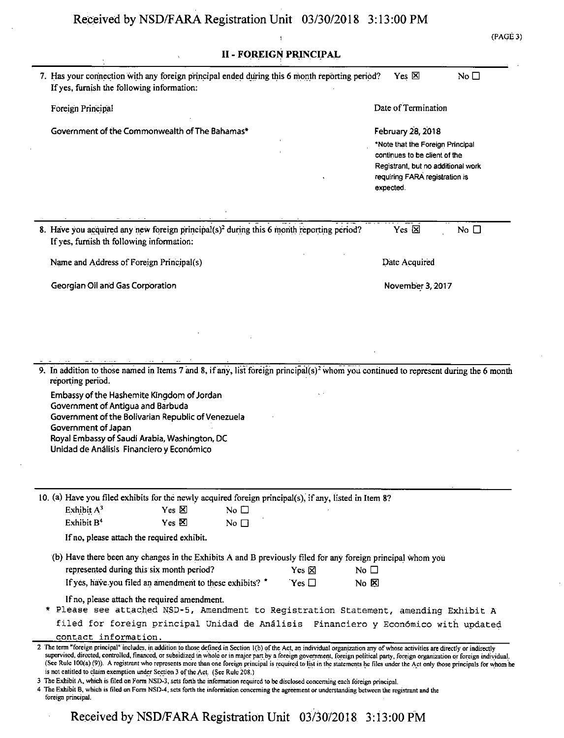| (PAGE) | ١ |
|--------|---|
|        |   |

| <b>II - FOREIGN PRINCIPAL</b>                                                                                                                                                                                                                                                                                                                                                                                                                                                                                                                                                                                                                                                                                                                                                                                                                                                                                                                                    |                                                                                                                                                                             |  |  |  |
|------------------------------------------------------------------------------------------------------------------------------------------------------------------------------------------------------------------------------------------------------------------------------------------------------------------------------------------------------------------------------------------------------------------------------------------------------------------------------------------------------------------------------------------------------------------------------------------------------------------------------------------------------------------------------------------------------------------------------------------------------------------------------------------------------------------------------------------------------------------------------------------------------------------------------------------------------------------|-----------------------------------------------------------------------------------------------------------------------------------------------------------------------------|--|--|--|
| 7. Has your connection with any foreign principal ended during this 6 month reporting period?<br>If yes, furnish the following information:                                                                                                                                                                                                                                                                                                                                                                                                                                                                                                                                                                                                                                                                                                                                                                                                                      | Yes $\boxtimes$<br>No $\square$                                                                                                                                             |  |  |  |
| Foreign Principal                                                                                                                                                                                                                                                                                                                                                                                                                                                                                                                                                                                                                                                                                                                                                                                                                                                                                                                                                | Date of Termination                                                                                                                                                         |  |  |  |
| Government of the Commonwealth of The Bahamas*                                                                                                                                                                                                                                                                                                                                                                                                                                                                                                                                                                                                                                                                                                                                                                                                                                                                                                                   | February 28, 2018<br>*Note that the Foreign Principal<br>continues to be client of the<br>Registrant, but no additional work<br>requiring FARA registration is<br>expected. |  |  |  |
| 8. Have you acquired any new foreign principal(s) <sup>2</sup> during this 6 month reporting period?<br>If yes, furnish th following information:                                                                                                                                                                                                                                                                                                                                                                                                                                                                                                                                                                                                                                                                                                                                                                                                                | Yes $\boxtimes$<br>No $\square$                                                                                                                                             |  |  |  |
| Name and Address of Foreign Principal(s)                                                                                                                                                                                                                                                                                                                                                                                                                                                                                                                                                                                                                                                                                                                                                                                                                                                                                                                         | Date Acquired                                                                                                                                                               |  |  |  |
| Georgian Oil and Gas Corporation                                                                                                                                                                                                                                                                                                                                                                                                                                                                                                                                                                                                                                                                                                                                                                                                                                                                                                                                 | November 3, 2017                                                                                                                                                            |  |  |  |
| 9. In addition to those named in Items 7 and 8, if any, list foreign principal(s) <sup>2</sup> whom you continued to represent during the 6 month<br>reporting period.<br>Embassy of the Hashemite Kingdom of Jordan<br>Government of Antigua and Barbuda<br>Government of the Bolivarian Republic of Venezuela<br>Government of Japan<br>Royal Embassy of Saudi Arabia, Washington, DC<br>Unidad de Análisis Financiero y Económico                                                                                                                                                                                                                                                                                                                                                                                                                                                                                                                             |                                                                                                                                                                             |  |  |  |
| 10. (a) Have you filed exhibits for the newly acquired foreign principal(s), if any, listed in Item 8?<br>Exhibit A <sup>3</sup><br>$Yes \times$<br>No $\square$<br>Exhibit B <sup>4</sup><br>$Yes \times$<br>No $\Box$<br>If no, please attach the required exhibit.<br>(b) Have there been any changes in the Exhibits A and B previously filed for any foreign principal whom you<br>represented during this six month period?<br>$Yes \boxtimes$<br>If yes, have you filed an amendment to these exhibits? *<br>'Yes □<br>If no, please attach the required amendment.<br>* Please see attached NSD-5, Amendment to Registration Statement, amending Exhibit A<br>filed for foreign principal Unidad de Análisis Financiero y Económico with updated<br>contact information.                                                                                                                                                                                 | No $\Box$<br>$N_0$ $\boxtimes$                                                                                                                                              |  |  |  |
| 2 The term "foreign principal" includes, in addition to those defined in Section 1(b) of the Act, an individual organization any of whose activities are directly or indirectly<br>supervised, directed, controlled, financed, or subsidized in whole or in major part by a foreign government, foreign political party, foreign organization or foreign individual.<br>(See Rule 100(a) (9)). A registrant who represents more than one foreign principal is required to list in the statements he files under the Act only those principals for whom he<br>is not entitled to claim exemption under Section 3 of the Act. (See Rule 208.)<br>3 The Exhibit A, which is filed on Form NSD-3, sets forth the information required to be disclosed concerning each foreign principal.<br>4 The Exhibit B, which is filed on Form NSD-4, sets forth the information concerning the agreement or understanding between the registrant and the<br>foreign principal. |                                                                                                                                                                             |  |  |  |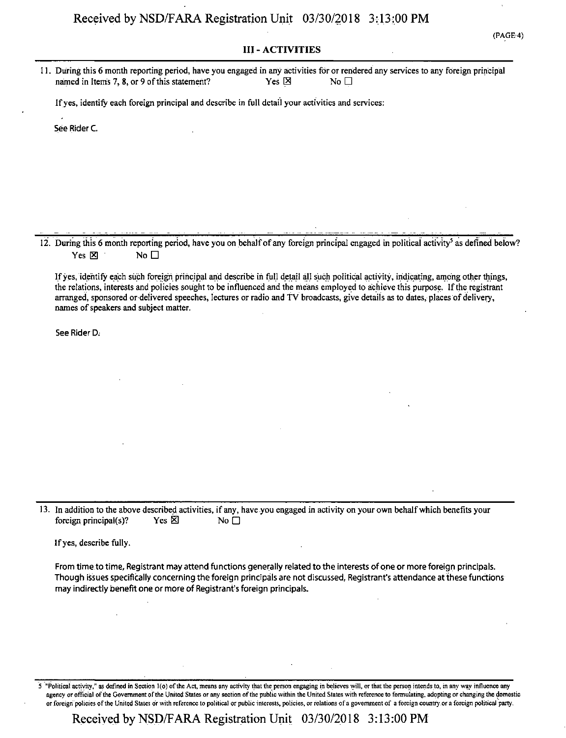#### III - ACTIVITIES

(PAGE-4)

11. During this 6 month reporting period, have you engaged in any activities for or rendered any services to any foreign principal named in Items 7, 8, or 9 of this statement? Yes  $\boxtimes$  Yes  $\boxtimes$ 

Ifyes, identify each foreign principal and describe in full detail your activities and services:

See Rider C.

12. During this 6 month reporting period, have you on behalf of any foreign principal engaged in political activity<sup>5</sup> as defined below? Yes  $\boxtimes$  No  $\Box$ 

Ifyes, identify each such foreign principal and describe in full detail all such political activity, indicating, among other things, the relations, interests and policies sought to be influenced and the means employed to achieve this purpose. Ifthe registrant arranged, sponsored or delivered speeches, lectures or radio and TV broadcasts, give details as to dates, places of delivery, names of speakers and subject matter.

See Rider D.

13. In addition to the above described activities, if any, have you engaged in activity on your own behalfwhich benefits your foreign principal(s)? Yes  $\boxtimes$  No  $\Box$ 

Ifyes, describe fully.

From time to time, Registrant may attend functions generally related to the interests of one or more foreign principals. Though issues specifically concerning the foreign principals are not discussed, Registrant's attendance at these functions may indirectly benefit one or more of Registrant's foreign principals.

5 "Political activity," as defined in Section l(o) ofthe Act, means any activity that the person engaging in believes will, orthat the person intends to, in any way influence any agency or official of the Government of the United States or any section of the public within the United States with reference to formulating, adopting or changing the domestic or foreign policies ofthe United States dr with reference to political or public interests, policies, or relations ofa government of a foreign country.or a foreign political party.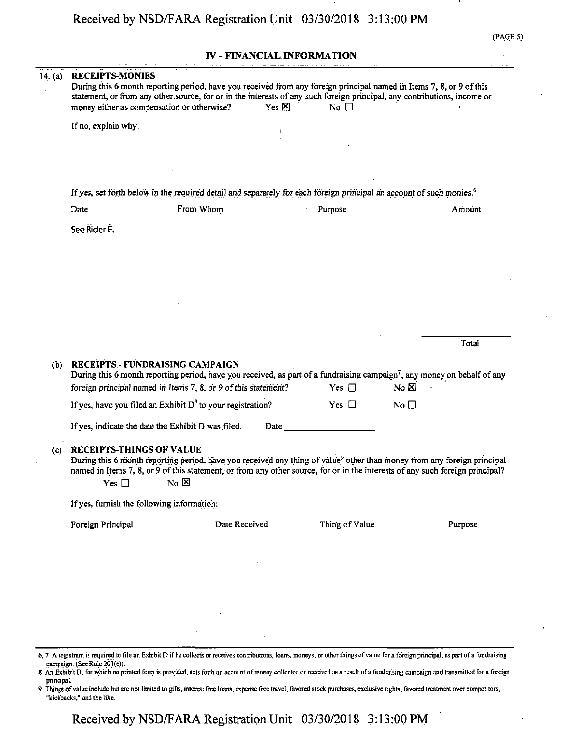#### IV - FINANCIAL INFORMATION

| 14. (a) | <b>RECEIPTS-MONIES</b><br>money either as compensation or otherwise?                                                             |             | Yes $\boxtimes$ | During this 6 month reporting period, have you received from any foreign principal named in Items 7, 8, or 9 of this<br>statement, or from any other source, for or in the interests of any such foreign principal, any contributions, income or<br>No $\square$     |                   |         |
|---------|----------------------------------------------------------------------------------------------------------------------------------|-------------|-----------------|----------------------------------------------------------------------------------------------------------------------------------------------------------------------------------------------------------------------------------------------------------------------|-------------------|---------|
|         | If no, explain why.                                                                                                              |             |                 |                                                                                                                                                                                                                                                                      |                   |         |
|         |                                                                                                                                  |             |                 |                                                                                                                                                                                                                                                                      |                   |         |
|         |                                                                                                                                  |             |                 |                                                                                                                                                                                                                                                                      |                   |         |
|         | If yes, set forth below in the required detail and separately for each foreign principal an account of such monies. <sup>6</sup> |             |                 |                                                                                                                                                                                                                                                                      |                   |         |
|         | Date                                                                                                                             | From Whom   |                 | Purpose                                                                                                                                                                                                                                                              |                   | Amount  |
|         | See Rider E.                                                                                                                     |             |                 |                                                                                                                                                                                                                                                                      |                   |         |
|         |                                                                                                                                  |             |                 |                                                                                                                                                                                                                                                                      |                   |         |
|         |                                                                                                                                  |             |                 |                                                                                                                                                                                                                                                                      |                   |         |
|         |                                                                                                                                  |             |                 |                                                                                                                                                                                                                                                                      |                   |         |
|         |                                                                                                                                  |             |                 |                                                                                                                                                                                                                                                                      |                   |         |
|         |                                                                                                                                  |             |                 |                                                                                                                                                                                                                                                                      |                   |         |
|         |                                                                                                                                  |             |                 |                                                                                                                                                                                                                                                                      |                   | Total   |
| (b)     | RECEIPTS - FUNDRAISING CAMPAIGN<br>foreign principal named in Items 7, 8, or 9 of this statement?                                |             |                 | During this 6 month reporting period, have you received, as part of a fundraising campaign <sup>7</sup> , any money on behalf of any<br>Yes $\Box$                                                                                                                   | $N_C$ $\boxtimes$ |         |
|         | If yes, have you filed an Exhibit $D^8$ to your registration?                                                                    |             |                 | Yes $\Box$                                                                                                                                                                                                                                                           | No $\square$      |         |
|         | If yes, indicate the date the Exhibit D was filed.                                                                               |             | Date            |                                                                                                                                                                                                                                                                      |                   |         |
|         |                                                                                                                                  |             |                 |                                                                                                                                                                                                                                                                      |                   |         |
| (c)     | <b>RECEIPTS-THINGS OF VALUE</b><br>Yes $\Box$                                                                                    | $No \times$ |                 | During this 6 month reporting period, have you received any thing of value <sup>9</sup> other than money from any foreign principal<br>named in Items 7, 8, or 9 of this statement, or from any other source, for or in the interests of any such foreign principal? |                   |         |
|         | If yes, furnish the following information:                                                                                       |             |                 |                                                                                                                                                                                                                                                                      |                   |         |
|         | Foreign Principal                                                                                                                |             | Date Received   | Thing of Value                                                                                                                                                                                                                                                       |                   | Purpose |
|         |                                                                                                                                  |             |                 |                                                                                                                                                                                                                                                                      |                   |         |
|         |                                                                                                                                  |             |                 |                                                                                                                                                                                                                                                                      |                   |         |
|         |                                                                                                                                  |             |                 |                                                                                                                                                                                                                                                                      |                   |         |
|         |                                                                                                                                  |             |                 |                                                                                                                                                                                                                                                                      |                   |         |
|         |                                                                                                                                  |             |                 |                                                                                                                                                                                                                                                                      |                   |         |

6,7 A registrant is required to file an Exhibit D if he collects or receives contributions, loans, moneys, or other things ofvalue for a foreign principal, as part ofa fundraising campaign. (See Rule 201(e)).

8 An Exhibit D, for which no printed form is provided, sets forth an account of money collected or received as a result of a fundraising campaign and transmitted for a foreign principal.

9 Things ofvalue include but are not limited to gifts, interest free loans, expense free travel, favored stock purchases, exclusive rights, favored treatment over competitors, "kickbacks,'' and the like.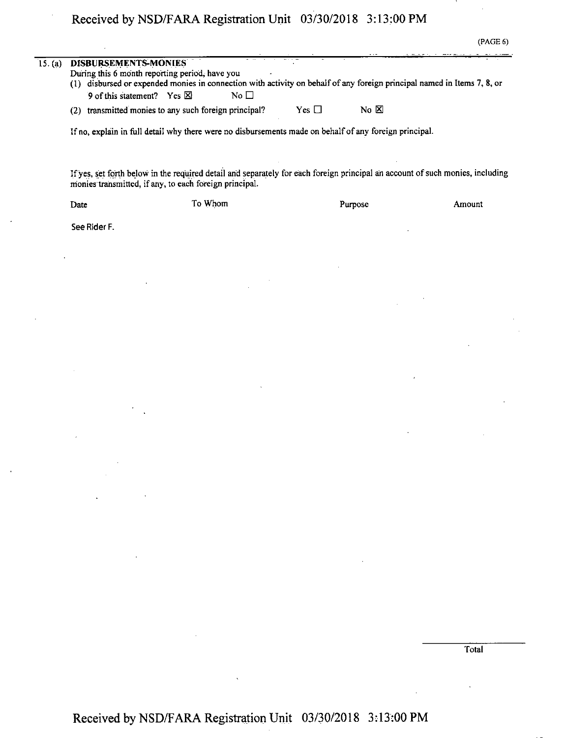l,

|         |                                                                                 |                                                                                                                                                                                         |               |                | (PAGE 6) |
|---------|---------------------------------------------------------------------------------|-----------------------------------------------------------------------------------------------------------------------------------------------------------------------------------------|---------------|----------------|----------|
| 15. (a) | DISBURSEMENTS-MONIES<br>9 of this statement? Yes $\boxtimes$                    | During this 6 month reporting period, have you<br>(1) disbursed or expended monies in connection with activity on behalf of any foreign principal named in Items 7, 8, or<br>No $\Box$  |               |                |          |
|         |                                                                                 | (2) transmitted monies to any such foreign principal?                                                                                                                                   | Yes $\square$ | No $\boxtimes$ |          |
|         |                                                                                 | If no, explain in full detail why there were no disbursements made on behalf of any foreign principal.                                                                                  |               |                |          |
|         |                                                                                 | If yes, set forth below in the required detail and separately for each foreign principal an account of such monies, including<br>monies transmitted, if any, to each foreign principal. |               |                |          |
|         | Date                                                                            | To Whom                                                                                                                                                                                 |               | Purpose        | Amount   |
|         | See Rider F.                                                                    |                                                                                                                                                                                         |               |                |          |
|         |                                                                                 |                                                                                                                                                                                         |               |                |          |
|         |                                                                                 |                                                                                                                                                                                         |               |                |          |
|         |                                                                                 |                                                                                                                                                                                         |               |                |          |
|         |                                                                                 |                                                                                                                                                                                         |               |                |          |
|         |                                                                                 |                                                                                                                                                                                         |               |                |          |
|         | $\sim 100$ km s $^{-1}$                                                         |                                                                                                                                                                                         |               |                |          |
|         | $\Delta \mathbf{r}$ and $\mathbf{r}$ are the state of the state of $\mathbf{r}$ |                                                                                                                                                                                         |               |                |          |
|         |                                                                                 |                                                                                                                                                                                         |               |                |          |
|         | $\mathcal{A}^{\mathcal{A}}$ and $\mathcal{A}^{\mathcal{A}}$                     |                                                                                                                                                                                         |               |                |          |

Total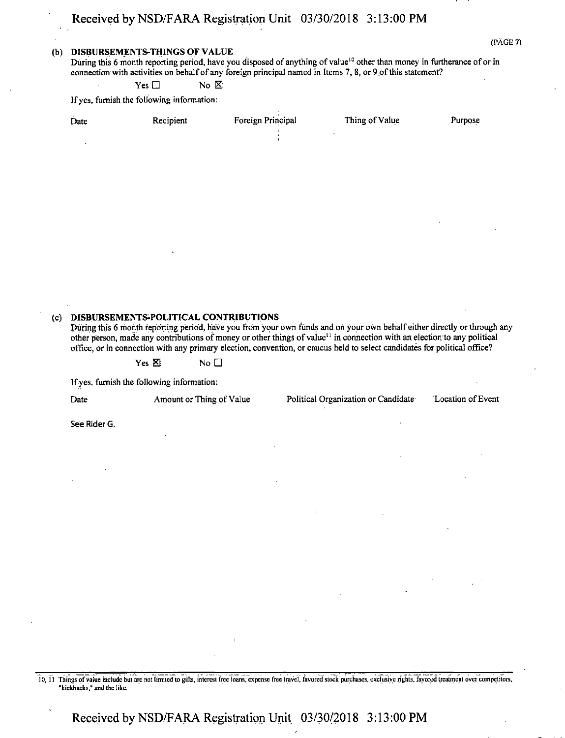#### **(b) DISBURSEMENTS-THINGS OF VALUE**

During this 6 month reporting period, have you disposed of anything of value<sup>10</sup> other than money in furtherance of or in connection with activities on behalf of any foreign principal named in Items 7, 8, or 9 of this statement?

 $Yes \Box$  No  $\boxtimes$ 

Ifyes, furnish the following information:

|      | Date                                       | Recipient                          | Foreign Principal | Thing of Value                                                                                                                                                                                                                                                                                                                                                                                | Purpose           |
|------|--------------------------------------------|------------------------------------|-------------------|-----------------------------------------------------------------------------------------------------------------------------------------------------------------------------------------------------------------------------------------------------------------------------------------------------------------------------------------------------------------------------------------------|-------------------|
|      |                                            |                                    |                   |                                                                                                                                                                                                                                                                                                                                                                                               |                   |
|      |                                            |                                    |                   |                                                                                                                                                                                                                                                                                                                                                                                               |                   |
|      |                                            |                                    |                   |                                                                                                                                                                                                                                                                                                                                                                                               |                   |
|      |                                            |                                    |                   |                                                                                                                                                                                                                                                                                                                                                                                               |                   |
|      |                                            |                                    |                   |                                                                                                                                                                                                                                                                                                                                                                                               |                   |
|      |                                            |                                    |                   |                                                                                                                                                                                                                                                                                                                                                                                               |                   |
|      |                                            |                                    |                   |                                                                                                                                                                                                                                                                                                                                                                                               |                   |
|      |                                            |                                    |                   |                                                                                                                                                                                                                                                                                                                                                                                               |                   |
|      |                                            |                                    |                   |                                                                                                                                                                                                                                                                                                                                                                                               |                   |
| (c). | DISBURSEMENTS-POLITICAL CONTRIBUTIONS      |                                    |                   | During this 6 month reporting period, have you from your own funds and on your own behalf either directly or through any<br>other person, made any contributions of money or other things of value <sup>11</sup> in connection with an election to any political<br>office, or in connection with any primary election, convention, or caucus held to select candidates for political office? |                   |
|      |                                            | Yes $\boxtimes$<br>No <sub>1</sub> |                   |                                                                                                                                                                                                                                                                                                                                                                                               |                   |
|      | If yes, furnish the following information: |                                    |                   |                                                                                                                                                                                                                                                                                                                                                                                               |                   |
|      | Date                                       | Amount or Thing of Value           |                   | Political Organization or Candidate                                                                                                                                                                                                                                                                                                                                                           | Location of Event |

See Rider G.

lo, <sup>11</sup> Things ofvaiue include but are not limited to gifts, interest free loans, expense free travel, favored stock purchases, exclusive rights, favored treatment over competitors, "kickbacks," and the like.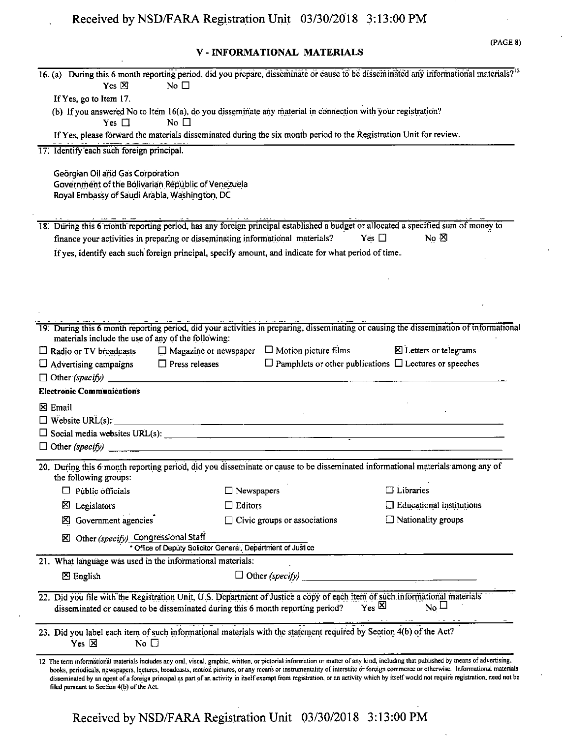## **V - INFORMATIONAL MATERIALS**

| Yes $\boxtimes$                                                                                                                                                                                                | No $\Box$                                                   |                              | 16. (a) During this 6 month reporting period, did you prepare, disseminate or cause to be disseminated any informational materials? <sup>12</sup>                                                                                                                                                                                                                                                                                                                                                                                                             |
|----------------------------------------------------------------------------------------------------------------------------------------------------------------------------------------------------------------|-------------------------------------------------------------|------------------------------|---------------------------------------------------------------------------------------------------------------------------------------------------------------------------------------------------------------------------------------------------------------------------------------------------------------------------------------------------------------------------------------------------------------------------------------------------------------------------------------------------------------------------------------------------------------|
| If Yes, go to Item 17.                                                                                                                                                                                         |                                                             |                              |                                                                                                                                                                                                                                                                                                                                                                                                                                                                                                                                                               |
| (b) If you answered No to Item 16(a), do you disseminate any material in connection with your registration?                                                                                                    |                                                             |                              |                                                                                                                                                                                                                                                                                                                                                                                                                                                                                                                                                               |
| Yes $\Box$                                                                                                                                                                                                     | No $\Box$                                                   |                              |                                                                                                                                                                                                                                                                                                                                                                                                                                                                                                                                                               |
| If Yes, please forward the materials disseminated during the six month period to the Registration Unit for review.                                                                                             |                                                             |                              |                                                                                                                                                                                                                                                                                                                                                                                                                                                                                                                                                               |
| 17. Identify each such foreign principal.                                                                                                                                                                      |                                                             |                              |                                                                                                                                                                                                                                                                                                                                                                                                                                                                                                                                                               |
| Georgian Oil and Gas Corporation<br>Government of the Bolivarian Republic of Venezuela<br>Royal Embassy of Saudi Arabia, Washington, DC                                                                        |                                                             |                              |                                                                                                                                                                                                                                                                                                                                                                                                                                                                                                                                                               |
|                                                                                                                                                                                                                |                                                             |                              | 18. During this 6 month reporting period, has any foreign principal established a budget or allocated a specified sum of money to                                                                                                                                                                                                                                                                                                                                                                                                                             |
| finance your activities in preparing or disseminating informational materials?                                                                                                                                 |                                                             |                              | Yes $\Box$<br>$No \boxtimes$                                                                                                                                                                                                                                                                                                                                                                                                                                                                                                                                  |
| If yes, identify each such foreign principal, specify amount, and indicate for what period of time.                                                                                                            |                                                             |                              |                                                                                                                                                                                                                                                                                                                                                                                                                                                                                                                                                               |
|                                                                                                                                                                                                                |                                                             |                              |                                                                                                                                                                                                                                                                                                                                                                                                                                                                                                                                                               |
|                                                                                                                                                                                                                |                                                             |                              |                                                                                                                                                                                                                                                                                                                                                                                                                                                                                                                                                               |
|                                                                                                                                                                                                                |                                                             |                              |                                                                                                                                                                                                                                                                                                                                                                                                                                                                                                                                                               |
|                                                                                                                                                                                                                |                                                             |                              |                                                                                                                                                                                                                                                                                                                                                                                                                                                                                                                                                               |
|                                                                                                                                                                                                                |                                                             |                              |                                                                                                                                                                                                                                                                                                                                                                                                                                                                                                                                                               |
| materials include the use of any of the following:                                                                                                                                                             |                                                             |                              | 19. During this 6 month reporting period, did your activities in preparing, disseminating or causing the dissemination of informational                                                                                                                                                                                                                                                                                                                                                                                                                       |
| $\Box$ Radio or TV broadcasts                                                                                                                                                                                  | $\Box$ Magazine or newspaper $\Box$ Motion picture films    |                              | X Letters or telegrams                                                                                                                                                                                                                                                                                                                                                                                                                                                                                                                                        |
| $\Box$ Advertising campaigns $\Box$ Press releases                                                                                                                                                             |                                                             |                              | $\Box$ Pamphlets or other publications $\Box$ Lectures or speeches                                                                                                                                                                                                                                                                                                                                                                                                                                                                                            |
|                                                                                                                                                                                                                |                                                             |                              |                                                                                                                                                                                                                                                                                                                                                                                                                                                                                                                                                               |
| <b>Electronic Communications</b>                                                                                                                                                                               |                                                             |                              |                                                                                                                                                                                                                                                                                                                                                                                                                                                                                                                                                               |
| $\boxtimes$ Email                                                                                                                                                                                              |                                                             |                              |                                                                                                                                                                                                                                                                                                                                                                                                                                                                                                                                                               |
| $\Box$ Website URL(s):                                                                                                                                                                                         |                                                             |                              |                                                                                                                                                                                                                                                                                                                                                                                                                                                                                                                                                               |
|                                                                                                                                                                                                                |                                                             |                              |                                                                                                                                                                                                                                                                                                                                                                                                                                                                                                                                                               |
|                                                                                                                                                                                                                |                                                             |                              |                                                                                                                                                                                                                                                                                                                                                                                                                                                                                                                                                               |
|                                                                                                                                                                                                                |                                                             |                              |                                                                                                                                                                                                                                                                                                                                                                                                                                                                                                                                                               |
| the following groups:                                                                                                                                                                                          |                                                             |                              | 20. During this 6 month reporting period, did you disseminate or cause to be disseminated informational materials among any of                                                                                                                                                                                                                                                                                                                                                                                                                                |
| $\Box$ Public officials                                                                                                                                                                                        | $\Box$ Newspapers                                           |                              | $\Box$ Libraries                                                                                                                                                                                                                                                                                                                                                                                                                                                                                                                                              |
| Σ<br>Legislators                                                                                                                                                                                               | Editors                                                     |                              | $\Box$ Educational institutions                                                                                                                                                                                                                                                                                                                                                                                                                                                                                                                               |
| Government agencies<br>⊠                                                                                                                                                                                       |                                                             | Civic groups or associations | $\Box$ Nationality groups                                                                                                                                                                                                                                                                                                                                                                                                                                                                                                                                     |
| Other (specify) Congressional Staff<br>Σ                                                                                                                                                                       | * Office of Deputy Solicitor General, Department of Justice |                              |                                                                                                                                                                                                                                                                                                                                                                                                                                                                                                                                                               |
| 21. What language was used in the informational materials:                                                                                                                                                     |                                                             |                              |                                                                                                                                                                                                                                                                                                                                                                                                                                                                                                                                                               |
|                                                                                                                                                                                                                |                                                             |                              |                                                                                                                                                                                                                                                                                                                                                                                                                                                                                                                                                               |
| $\boxtimes$ English                                                                                                                                                                                            |                                                             | $\Box$ Other (specify)       |                                                                                                                                                                                                                                                                                                                                                                                                                                                                                                                                                               |
| 22. Did you file with the Registration Unit, U.S. Department of Justice a copy of each item of such informational materials<br>disseminated or caused to be disseminated during this 6 month reporting period? |                                                             |                              | $Y_{\text{es}}$ $\Sigma$<br>$\overline{N_0}$ $\Box$                                                                                                                                                                                                                                                                                                                                                                                                                                                                                                           |
| 23. Did you label each item of such informational materials with the statement required by Section 4(b) of the Act?<br>$Yes \times$<br>No $\square$                                                            |                                                             |                              |                                                                                                                                                                                                                                                                                                                                                                                                                                                                                                                                                               |
| filed pursuant to Section 4(b) of the Act.                                                                                                                                                                     |                                                             |                              | 12 The term informational materials includes any oral, visual, graphic, written, or pictorial information or matter of any kind, including that published by means of advertising,<br>books, periodicals, newspapers, lectures, broadcasts, motion pictures, or any means or instrumentality of interstate or foreign commerce or otherwise. Informational materials<br>disseminated by an agent of a foreign principal as part of an activity in itself exempt from registration, or an activity which by itself would not require registration, need not be |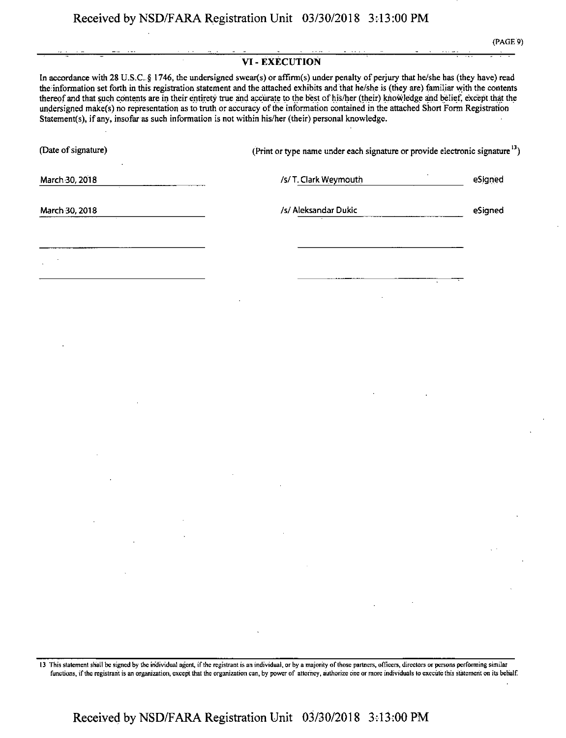#### **VI-EXECUTION**

In accordance with 28 U.S.C. § 1746, the undersigned swear(s) or affirm(s) under penalty of perjury that he/she has (they have) read the information set forth in this registration statement and the attached exhibits and that he/she is (they are) familiar with the contents thereof and that such contents are in their entirety true and accurate to the best of his/her (their) knowledge and belief, exceptthat the undersigned make(s) ho representation as to truth or accuracy ofthe information contained in the attached Short Form Registration Statement(s), ifany, insofar as such information is not within his/her (their) personal knowledge.

| (Date of signature)                                                                                                                |                                                                                                                                                                                                               | (Print or type name under each signature or provide electronic signature <sup>13</sup> ) |  |                                                                                                                                                                              |                     |
|------------------------------------------------------------------------------------------------------------------------------------|---------------------------------------------------------------------------------------------------------------------------------------------------------------------------------------------------------------|------------------------------------------------------------------------------------------|--|------------------------------------------------------------------------------------------------------------------------------------------------------------------------------|---------------------|
| March 30, 2018                                                                                                                     |                                                                                                                                                                                                               | /s/T. Clark Weymouth                                                                     |  |                                                                                                                                                                              | eSigned             |
| March 30, 2018                                                                                                                     | /s/ Aleksandar Dukic                                                                                                                                                                                          |                                                                                          |  |                                                                                                                                                                              | eSigned             |
|                                                                                                                                    |                                                                                                                                                                                                               |                                                                                          |  |                                                                                                                                                                              |                     |
|                                                                                                                                    |                                                                                                                                                                                                               |                                                                                          |  |                                                                                                                                                                              |                     |
|                                                                                                                                    |                                                                                                                                                                                                               |                                                                                          |  |                                                                                                                                                                              |                     |
|                                                                                                                                    |                                                                                                                                                                                                               |                                                                                          |  |                                                                                                                                                                              |                     |
|                                                                                                                                    |                                                                                                                                                                                                               |                                                                                          |  |                                                                                                                                                                              |                     |
|                                                                                                                                    |                                                                                                                                                                                                               |                                                                                          |  |                                                                                                                                                                              |                     |
|                                                                                                                                    |                                                                                                                                                                                                               |                                                                                          |  |                                                                                                                                                                              |                     |
|                                                                                                                                    |                                                                                                                                                                                                               |                                                                                          |  |                                                                                                                                                                              |                     |
|                                                                                                                                    |                                                                                                                                                                                                               |                                                                                          |  |                                                                                                                                                                              |                     |
|                                                                                                                                    |                                                                                                                                                                                                               |                                                                                          |  |                                                                                                                                                                              |                     |
|                                                                                                                                    |                                                                                                                                                                                                               |                                                                                          |  |                                                                                                                                                                              |                     |
|                                                                                                                                    |                                                                                                                                                                                                               | $\mathcal{L}^{\text{max}}_{\text{max}}$ and $\mathcal{L}^{\text{max}}_{\text{max}}$      |  |                                                                                                                                                                              | $\mathcal{A}$       |
| $\mathcal{L}(\mathcal{L}^{\mathcal{L}})$ and $\mathcal{L}(\mathcal{L}^{\mathcal{L}})$ and $\mathcal{L}(\mathcal{L}^{\mathcal{L}})$ |                                                                                                                                                                                                               |                                                                                          |  |                                                                                                                                                                              | $\sigma_{\rm{max}}$ |
|                                                                                                                                    |                                                                                                                                                                                                               |                                                                                          |  | $\mathcal{L}^{\mathcal{L}}(\mathcal{L}^{\mathcal{L}})$ and $\mathcal{L}^{\mathcal{L}}(\mathcal{L}^{\mathcal{L}})$ and $\mathcal{L}^{\mathcal{L}}(\mathcal{L}^{\mathcal{L}})$ |                     |
|                                                                                                                                    | $\label{eq:2.1} \mathcal{L}(\mathcal{L}^{\text{max}}_{\mathcal{L}}(\mathcal{L}^{\text{max}}_{\mathcal{L}})) \leq \mathcal{L}(\mathcal{L}^{\text{max}}_{\mathcal{L}}(\mathcal{L}^{\text{max}}_{\mathcal{L}}))$ |                                                                                          |  |                                                                                                                                                                              |                     |

13 This statement shall be signed by the individual agent, if the registrant is an individual, or by a majority of those partners, officers, directors or persons performing similar functions, if the registrant is an organization, except that the organization can, by power of attorney, authorize one or more individuals to execute this statement on its behalf.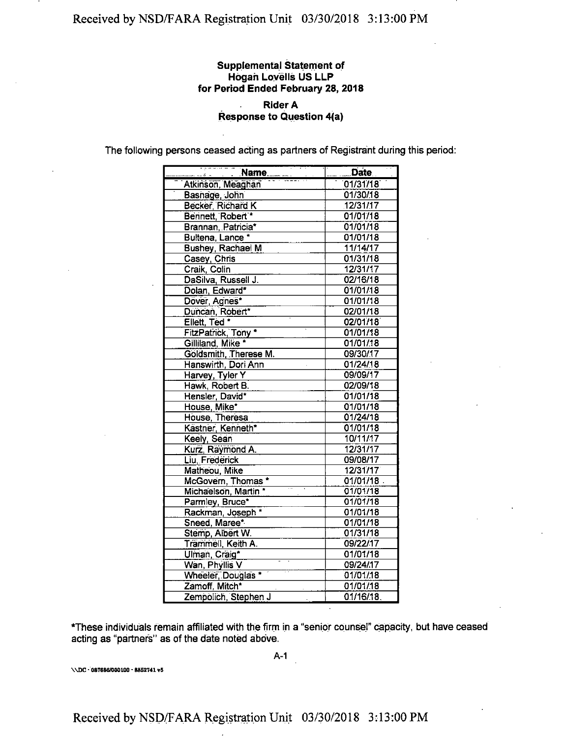#### **Supplemental Statement of Hogan Lovells US LLP for Period Ended February 28, 2018**

#### **Rider A Response to Question 4(a)**

The following persons ceased acting as partners of Registrant during this period:

| a para series as<br><u>Name</u> | Date     |
|---------------------------------|----------|
| Nam<br>Atkinson, Meaghan        | 01/31/18 |
| Basnage, John                   | 01/30/18 |
| Becker, Richard K               | 12/31/17 |
| Bennett, Robert *               | 01/01/18 |
| Brannan, Patricia*              | 01/01/18 |
| Bultena, Lance *                | 01/01/18 |
| Bushey, Rachael M               | 11/14/17 |
| Casey, Chris                    | 01/31/18 |
| Craik Colin                     | 12/31/17 |
| DaSilva, Russell J.             | 02/16/18 |
| Dolan, Edward*                  | 01/01/18 |
| Dover, Agnes*                   | 01/01/18 |
| Duncan, Robert*                 | 02/01/18 |
| Ellett, Ted *                   | 02/01/18 |
| FitzPatrick, Tony               | 01/01/18 |
| Gilliland, Mike *               | 01/01/18 |
| Goldsmith, Therese M.           | 09/30/17 |
| Hanswirth, Dori Ann             | 01/24/18 |
| Harvey, Tyler Y                 | 09/09/17 |
| Hawk, Robert B.                 | 02/09/18 |
| Hensler, David*                 | 01/01/18 |
| House, Mike*                    | 01/01/18 |
| House, Theresa                  | 01/24/18 |
| Kästner, Kenneth*               | 01/01/18 |
| Keely, Sean                     | 10/11/17 |
| Kurz, Raymond A.                | 12/31/17 |
| Liu, Frederick                  | 09/08/17 |
| Matheou, Mike                   | 12/31/17 |
| McGovern, Thomas*               | 01/01/18 |
| Michaelson, Martin *            | 01/01/18 |
| Parmley, Bruce*                 | 01/01/18 |
| Rackman, Joseph *               | 01/01/18 |
| Sneed, Maree*                   | 01/01/18 |
| Stemp, Albert W.                | 01/31/18 |
| Trammell, Keith A.              | 09/22/17 |
| Ulman, Craig*                   | 01/01/18 |
| Wan, Phyllis V                  | 09/24/17 |
| Wheeler, Douglas *              | 01/01/18 |
| Zamoff, Mitch*                  | 01/01/18 |
| Zempolich, Stephen J            | 01/16/18 |

\*These individuals remain affiliated with the firm in a "senior counsel" capacity, but have ceased acting as "partners" as of the date noted above.

\\DC•087686/000100 • 8862741 v6

A-1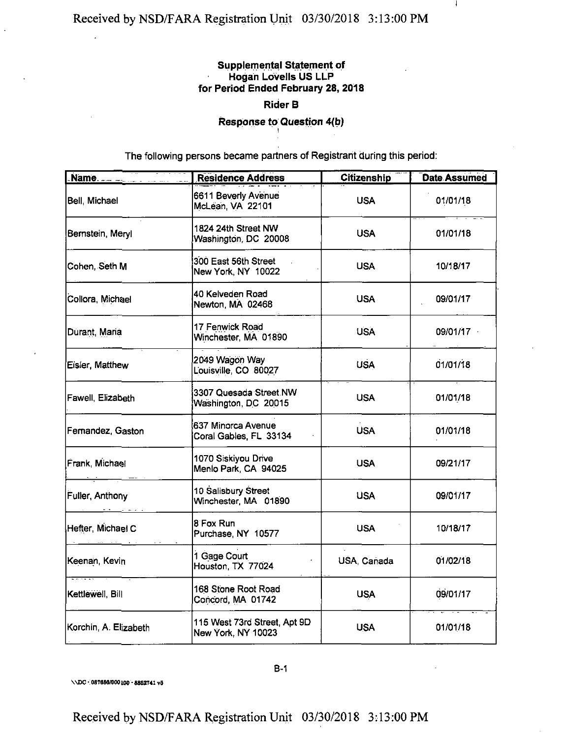## **Supplemental Statement of Hogan Lovells US LLP for Period Ended February 28, 2018**

 $\mathbf{I}$ 

## **Rider B**

**Response to Question 4{b)**

The following persons became partners of Registrant during this period:

|                       | <b>Residence Address</b>                           | <b>Citizenship</b> | <b>Date Assumed</b> |
|-----------------------|----------------------------------------------------|--------------------|---------------------|
| Bell Michael          | 6611 Beverly Avenue<br>McLean, VA 22101            | <b>USA</b>         | 01/01/18            |
| Bernstein, Meryl      | 1824 24th Street NW<br>Washington, DC 20008        | USA.               | 01/01/18            |
| Cohen, Seth M         | 300 East 56th Street<br>New York, NY 10022         | USA.               | 10/18/17            |
| Collora, Michael      | 40 Kelveden Road<br>Newton, MA 02468               | <b>USA</b>         | 09/01/17            |
| Durant, Maria         | 17 Fenwick Road<br>Winchester, MA 01890            | <b>USA</b>         | 09/01/17            |
| Eisler, Matthew       | 2049 Wagon Way<br>Louisville, CO 80027             | <b>USA</b>         | 01/01/18            |
| Fawell, Elizabeth     | 3307 Quesada Street NW<br>Washington, DC 20015     | <b>USA</b>         | 01/01/18            |
| Fernandez, Gaston     | 637 Minorca Avenue<br>Coral Gables, FL 33134       | <b>USA</b>         | 01/01/18            |
| Frank, Michael        | 1070 Siskiyou Drive<br>Menlo Park, CA 94025        | <b>USA</b>         | 09/21/17            |
| Fuller, Anthony       | 10 Salisbury Street<br>Winchester, MA 01890        | <b>USA</b>         | 09/01/17            |
| Hefter, Michael C     | 8 Fox Run<br>Purchase, NY 10577                    | USA.               | 10/18/17            |
| Keenan, Kevin         | 1 Gage Court<br>Houston, TX 77024                  | USA, Canada        | 01/02/18            |
| Kettlewell, Bill      | 168 Stone Root Road<br>Concord, MA 01742           | <b>USA</b>         | 09/01/17            |
| Korchin, A. Elizabeth | 115 West 73rd Street, Apt 9D<br>New York, NY 10023 | <b>USA</b>         | 01/01/18            |

\\DC \* 087888/000100 • 8862741 v5

Received by NSD/FARA Registration Unit 03/30/2018 3:13:00 PM

B-1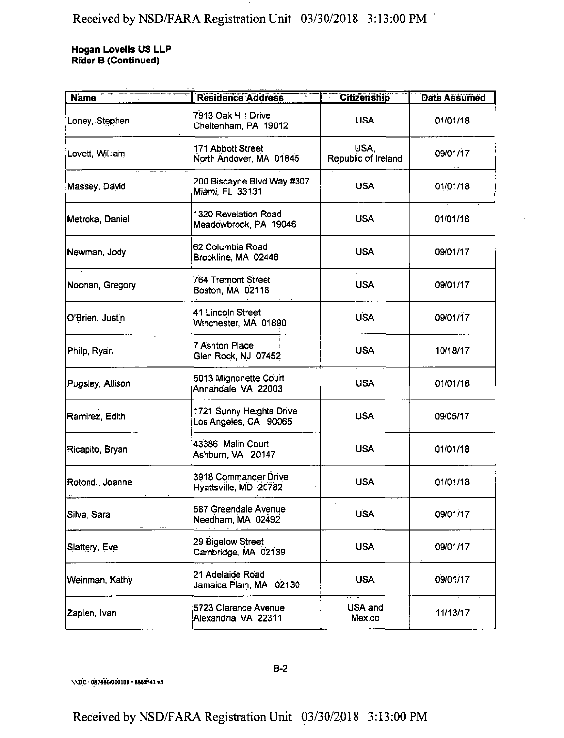**Hogan Lovells US LLP Rider B (Continued)**

| <b>Name</b>      | <b>Residence Address</b>                          | <b>Citizenship</b>          | Date Assumed |
|------------------|---------------------------------------------------|-----------------------------|--------------|
| Loney, Stephen   | 7913 Oak Hill Drive<br>Cheltenham, PA 19012       | <b>USA</b>                  | 01/01/18     |
| Lovett, William  | 171 Abbott Street<br>North Andover, MA 01845      | USA.<br>Republic of Ireland | 09/01/17     |
| Massey, David    | 200 Biscayne Blvd Way #307<br>Miami, FL 33131     | <b>USA</b>                  | 01/01/18     |
| Metroka, Daniel  | 1320 Revelation Road<br>Meadowbrook, PA 19046     | <b>USA</b>                  | 01/01/18     |
| Newman, Jody     | 62 Columbia Road<br>Brookline, MA 02446           | <b>USA</b>                  | 09/01/17     |
| Noonan, Gregory  | 764 Tremont Street<br>Boston, MA 02118            | <b>USA</b>                  | 09/01/17     |
| O'Brien, Justin  | 41 Lincoln Street<br>Winchester, MA 01890         | <b>USA</b>                  | 09/01/17     |
| Philp, Ryan      | 7 Ashton Place<br>Glen Rock, NJ 07452             | <b>USA</b>                  | 10/18/17     |
| Pugsley, Allison | 5013 Mignonette Court<br>Annandale, VA 22003      | <b>USA</b>                  | 01/01/18     |
| Ramirez, Edith   | 1721 Sunny Heights Drive<br>Los Angeles, CA 90065 | <b>USA</b>                  | 09/05/17     |
| Ricapito, Bryan  | 43386 Malin Court<br>Ashburn, VA 20147            | <b>USA</b>                  | 01/01/18     |
| Rotondi, Joanne  | 3918 Commander Drive<br>Hyattsville, MD 20782     | <b>USA</b>                  | 01/01/18     |
| Silva, Sara      | 587 Greendale Avenue<br>Needham, MA 02492         | <b>USA</b>                  | 09/01/17     |
| Slattery, Eve    | 29 Bigelow Street<br>Cambridge, MA 02139          | <b>USA</b>                  | 09/01/17     |
| Weinman, Kathy   | 21 Adelaide Road<br>Jamaica Plain, MA 02130       | <b>USA</b>                  | 09/01/17     |
| Zapien, Ivan     | 5723 Clarence Avenue<br>Alexandria, VA 22311      | USA and<br>Mexico           | 11/13/17     |

\\DC - 087886/000100 ■ 8852741 v6

B-2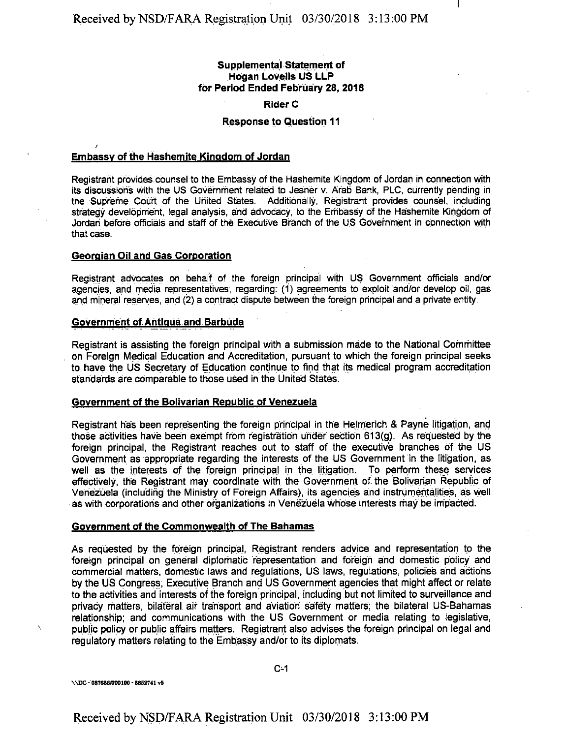### **Supplemental Statement of Hogan Lovells US LLP for Period Ended February 28, 2018**

#### **Rider C**

#### **Response to Question 11**

## *r* **Embassy of the Hashemite Kingdom of Jordan**

Registrant provides counsel to the Embassy of the Hashemite Kingdom of Jordan in connection with its discussions with the US Government related to Jesner v. Arab Bank, PLC, currently pending in the Supreme Court of the United States. Additionally, Registrant provides counsel, including strategy development, legal analysis, and advocacy, to the Embassy of the Hashemite Kingdom of Jordan before officials and staff of the Executive Branch of the US Government in connection with that case.

#### **Georgian Oil and Gas Corporation**

Registrant advocates on behalf of the foreign principal with US Government officials and/or agencies, and media representatives, regarding: (1) agreements to exploit and/or develop oil, gas and mineral reserves, and (2) a contract dispute between the foreign principal and a private entity.

#### **Government of Aritiaua and Barbuda**

Registrant is assisting the foreign principal with a submission made to the National Committee on Foreign Medical Education and Accreditation, pursuant to which the foreign principal seeks to have the US Secretary of Education continue to find that its medical program accreditation standards are comparable to those used in the United States.

#### **Government of the Bolivarian Republic of Venezuela**

Registrant has been representing the foreign principal in the Helmerich & Payne litigation, and those activities have been exempt from registration under section 613(g). As requested by the foreign principal, the Registrant reaches out to staff of the executive branches of the US Government as appropriate regarding the interests of the US Government in the litigation, as well as the interests of the foreign principal in the litigation. To perform these services effectively, the Registrant may coordinate with the Government of. the Bolivarian Republic of Venezuela (including the Ministry of Foreign Affairs), its agencies and instrumentalities, as well as with corporations and other organizations in Venezuela whose interests may be impacted.

#### **Government of the Commonwealth of The Bahamas**

As requested by the foreign principal, Registrant renders advice and representation to the foreign principal on general diplorhatic representation and foreign and domestic policy and commercial matters, domestic laws and regulations, US laws, regulations, policies and actions by the US Congress; Executive Branch and US Government agencies that might affect or relate to the activities and interests of the foreign principal, including but not limited to surveillance and privacy matters, bilateral air transport and aviation safety matters; the bilateral US-Bahamas relationship; and communications with the US Government or media relating to legislative, public policy or public affairs matters. Registrant also advises the foreign principal on legal and regulatory matters relating to the Embassy and/or to its diplomats.

\\DC-087686/000100 - 8852741 v5

 $\bar{\mathbf{v}}$ 

C-1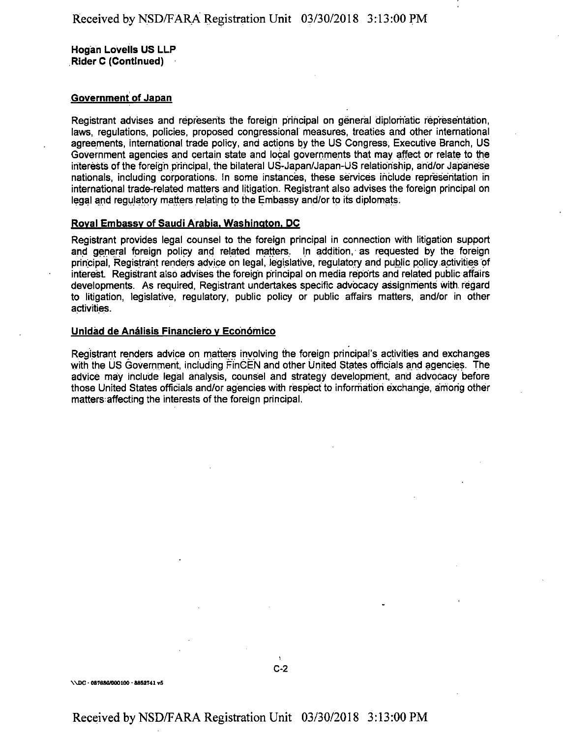**Hogan Lovells US LLP Rider C (Continued)**

#### **Government of Japan**

Registrant advises and represents the foreign principal on general diplomatic representation, laws, regulations, policies, proposed congressional measures, treaties and other international agreements, international trade policy, and actions by the US Congress, Executive Branch, US Government agencies and certain state and local governments that may affect or relate to the interests of the foreign principal, the bilateral US-Japan/Japan-US relationship, and/or Japanese nationals, including corporations. In some instances, these services include representation in international trade-related matters and litigation. Registrant also advises the foreign principal on legal and regulatory matters relating to the Embassy and/or to its diplomats.

#### **Roval Embassy of Saudi Arabia. Washington. DC**

Registrant provides legal counsel to the foreign principal in connection with litigation support and general foreign policy and related matters. In addition, as requested by the foreign principal, Registrant renders advice on legal, legislative, regulatory and public policy activities of interest. Registrant also advises the foreign principal on media reports and related public affairs developments. As required, Registrant undertakes specific advocacy assignments with regard to litigation, legislative, regulatory, public policy or public affairs matters, and/or in other activities.

#### **Unidad de Analisis Financiero v Economico**

Registrant renders advice on matters involving the foreign principal's activities and exchanges with the US Government, including FinGEN and other United States officials and agencies. The advice may include legal analysis, counsel and strategy development, and advocacy before those United States officials and/or agencies with respect to information exchange, among other matters affecting the interests of the foreign principal.

#### \\DC · 087686/000100 · 8852741 v5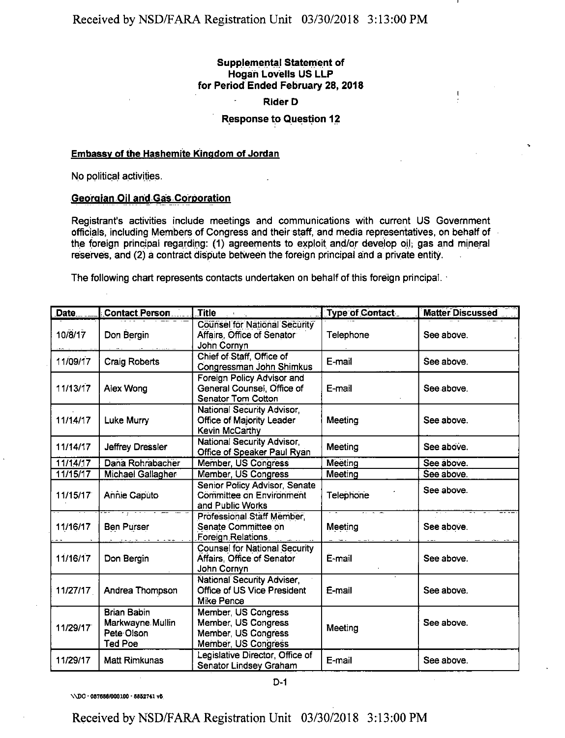### **Supplemental Statement of Hogan Lovells US LLP for Period Ended February 28, 2018**

 $\mathbf{I}$ 

#### Rider D

#### **Response to Question 12**

#### Embassy of the Hashemite Kingdom of Jordan

No political activities.

#### Georgian Oil and Gas Corporation

Registrant's activities include meetings and communications with current US Government officials, including Members of Congress and their staff, and media representatives, on behalf of the foreign principal regarding: (1) agreements to exploit and/or develop oil; gas and mineral reserves, and (2) a contract dispute between the foreign principal and a private entity.

The following chart represents contacts undertaken on behalf of this foreign principal.

| Date     | Contact Person                                                         | <b>Title</b>                                                                             | <b>Type of Contact.</b> | <b>Matter Discussed</b> |
|----------|------------------------------------------------------------------------|------------------------------------------------------------------------------------------|-------------------------|-------------------------|
| 10/8/17  | Don Bergin                                                             | Counsel for National Security<br>Affairs, Office of Senator<br>John Cornyn               | Telephone               | See above.              |
| 11/09/17 | <b>Craig Roberts</b>                                                   | Chief of Staff, Office of<br>Congressman John Shimkus                                    | E-mail                  | See above.              |
| 11/13/17 | Alex Wong                                                              | Foreign Policy Advisor and<br>General Counsel, Office of<br><b>Senator Tom Cotton</b>    | E-mail                  | See above.              |
| 11/14/17 | Luke Murry                                                             | National Security Advisor<br>Office of Majority Leader<br>Kevin McCarthy                 | Meeting                 | See above.              |
| 11/14/17 | Jeffrey Dressler                                                       | National Security Advisor,<br>Office of Speaker Paul Ryan                                | Meeting                 | See above.              |
| 11/14/17 | Dana Rohrabacher                                                       | Member, US Congress                                                                      | Meeting                 | See above.              |
| 11/15/17 | Michael Gallagher                                                      | Member, US Congress                                                                      | Meeting                 | See above.              |
| 11/15/17 | Annie Caputo                                                           | Senior Policy Advisor, Senate<br>Committee on Environment<br>and Public Works            | Telephone               | See above.              |
| 11/16/17 | <b>Ben Purser</b>                                                      | Professional Staff Member,<br>Senate Committee on<br>Foreign Relations.                  | Meeting                 | See above.              |
| 11/16/17 | Don Bergin                                                             | <b>Counsel for National Security</b><br>Affairs, Office of Senator<br>John Cornyn        | E-mail                  | See above.              |
| 11/27/17 | Andrea Thompson                                                        | National Security Adviser,<br>Office of US Vice President<br><b>Mike Pence</b>           | E-mail                  | See above.              |
| 11/29/17 | <b>Brian Babin</b><br>Markwayne Mullin<br>Pete Olson<br><b>Ted Poe</b> | Member, US Congress<br>Member, US Congress<br>Member, US Congress<br>Member, US Congress | Meeting                 | See above.              |
| 11/29/17 | <b>Matt Rimkunas</b>                                                   | Legislative Director, Office of<br>Senator Lindsey Graham                                | E-mail                  | See above.              |

D-1

\\DC • 087686/000100 • 6862741 v6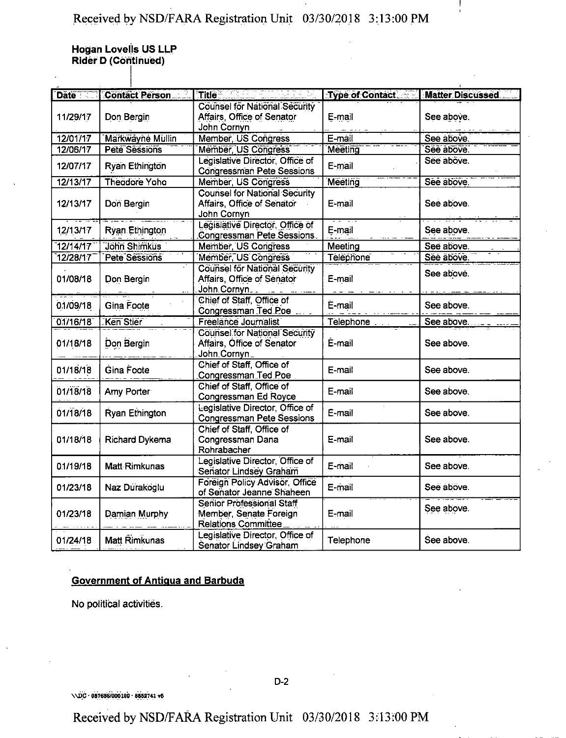$\frac{1}{2}$ 

**Hogan Lovells US LLP Rider D (Continued)**

|           | Date Contact Person   | Title <b>Communication</b>                                                        | Type of Contact Matter Discussed |            |
|-----------|-----------------------|-----------------------------------------------------------------------------------|----------------------------------|------------|
| 11/29/17  | Don Bergin            | Counsel for National Security<br>Affairs, Office of Senator<br>John Cornyn        | E-mail                           | See above. |
| 12/01/17  | Markwayne Mullin      | Member, US Congress                                                               | E-mail                           | See above  |
| 12/06/17  | Pete Sessions         | Member, US Congress                                                               | Meeting                          | Sée above. |
| 12/07/17  | Ryan Ethington        | Legislative Director, Office of<br>Congressman Pete Sessions                      | E-mail                           | Sée above. |
| 12/13/17  | Theodore Yoho         | Member, US Congress                                                               | Meeting                          | See above. |
| 12/13/17  | Don Bergin            | <b>Counsel for National Security</b><br>Affairs, Office of Senator<br>John Cornyn | E-mail                           | See above. |
| 12/13/17  | Ryan Ethington        | Legislative Director, Office of<br>Congressman Pete Sessions.                     | E-mail                           | See above. |
| 12/14/17  | Jöhn Shimküs          | Member, US Congress                                                               | Meeting                          | See above. |
| 12/28/17  | Pete Sessions         | Member, US Congress                                                               | Telephone                        | Sée above. |
| 01/08/18  | Don Bergin            | Counsel for National Security<br>Affairs, Office of Senator<br>John Cornyn        | E-mail                           | See above. |
| 0.1/09/18 | Gina Foote            | Chief of Staff, Office of<br>Congressman Ted Poe                                  | E-mail                           | See above. |
| 01/16/18  | Ken Stier             | Freelance Journalist                                                              | Telephone                        | See above. |
| 01/18/18  | Don Bergin            | Counsel for National Security<br>Affairs, Office of Senator<br>John Cornyn        | E-mail                           | See above. |
| 01/18/18  | Gina Foote            | Chief of Staff, Office of<br>Congressman Ted Poe                                  | E-mail                           | See above. |
| 01/18/18  | Amy Porter            | Chief of Staff, Office of<br>Congressman Ed Royce                                 | E-mail                           | See above. |
| 01/18/18  | Ryan Ethington        | Legislative Director, Office of<br><b>Congressman Pete Sessions</b>               | E-mail                           | See above. |
| 01/18/18  | <b>Richard Dykema</b> | Chief of Staff, Office of<br>Congressman Dana<br>Rohrabacher                      | E-mail                           | See above. |
| 0.1/19/18 | Matt Rimkunas         | Legislative Director, Office of<br>Senator Lindsey Graham                         | E-mail                           | See above. |
| 01/23/18  | Naz Durakoglu         | Foreign Policy Advisor, Office<br>of Senator Jeanne Shaheen                       | E-mail                           | See above. |
| 01/23/18  | Damian Murphy         | Senior Professional Staff<br>Member, Senate Foreign<br>Relations Committee        | E-mail                           | See above. |
| 01/24/18  | Matt Rimkunas         | Legislative Director, Office of<br>Senator Lindsey Graham                         | Telephone                        | See above. |

### **Government of Antiaua and Barbuda**

No political activities.

\\DC• 087686/000100 • 8862741 v6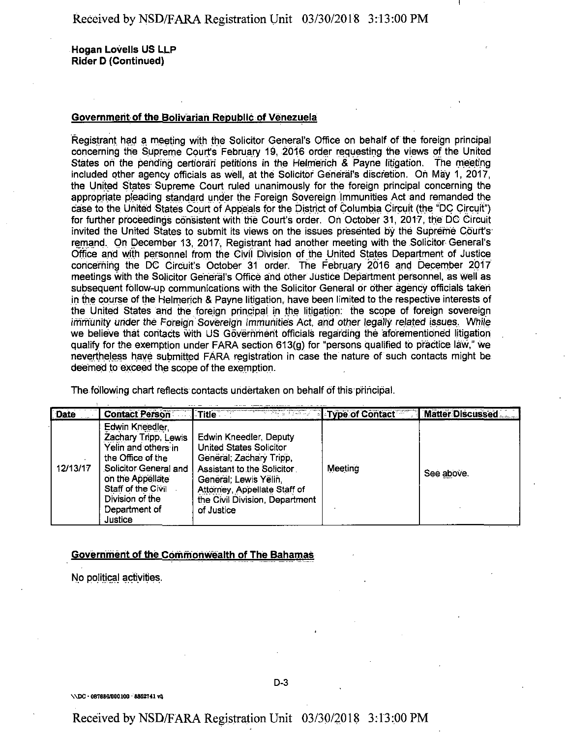**Hogan Lovells US LLP Rider D (Continued)**

#### **Government of the Bolivarian Republic of Venezuela**

Registrant had a meeting with the Solicitor General's Office on behalf of the foreign principal concerning the Supreme Court's February 19, 2016 order requesting the views of the United States on the pending certiorari petitions in the Helmerich & Payne litigation. The meeting included other agency officials as well, at the Solicitor General's discretion. Oh May 1, 2017, the United States Supreme Court ruled unanimously for the foreign principal concerning the appropriate pleading standard under the Foreign Sovereign Immunities Act and remanded the case to the United States Court of Appeals for the District of Columbia Circuit (the "DC Circuit") for further proceedings consistent with the Court's order. Oh October 31, 2017, the DC Circuit invited the United States to submit its views on the issues presented by the Supreme Court's remand. On December 13, 2017, Registrant had another meeting with the Solicitor General's Office and with personnel from the Civil Division of the United States Department of Justice concerning the DC Circuit's October 31 order. The February 2016 and December 2017 meetings with the Solicitor General's Office and other Justice Department personnel, as well as subsequent follow-up communications with the Solicitor General or other agency officials taken in the course ofthe Heimerich & Payne litigation, have been limited to the respective interests of the United States and the foreign principal in the litigation: the scope of foreign sovereign immunity under the Foreign Sovereign Immunities Act, and other legally related issues. While we believe that contacts with US Government officials regarding the aforementioned litigation qualify for the exemption under FARA section 613(g) for "persons qualified to practice law," we nevertheless have submitted FARA registration in case the nature of such contacts might be deemed to exceed the scope of the exemption.

The following chart reflects contacts undertaken on behalf of this principal.

الدائد الطائف

| <b>Date</b> | <b>Contact Person</b>                                                                                                                                                                                 | $\sqrt{ }$ Title $\sqrt{ }$                                                                                                                                                                                         | <b>Example: Type:of Contact</b> | Matter Discussed |
|-------------|-------------------------------------------------------------------------------------------------------------------------------------------------------------------------------------------------------|---------------------------------------------------------------------------------------------------------------------------------------------------------------------------------------------------------------------|---------------------------------|------------------|
| 12/13/17    | Edwin Kneedler,<br>Zachary Tripp, Lewis<br>Yelin and others in<br>the Office of the<br>Solicitor General and<br>on the Appellate<br>Staff of the Civil<br>Division of the<br>Department of<br>Justice | Edwin Kneedler, Deputy<br>United States Solicitor<br>General, Zachary Tripp,<br>Assistant to the Solicitor<br>General: Lewis Yelin,<br>Attorney, Appellate Staff of<br>the Civil Division, Department<br>of Justice | Meeting                         | See above.       |

<u> 1988 - Alexandr Alexandr III, martxa</u>

#### **Government of the Commonwealth of The Bahamas**

No political activities.

\\DC ■ 087686/000100 - 8852741 v5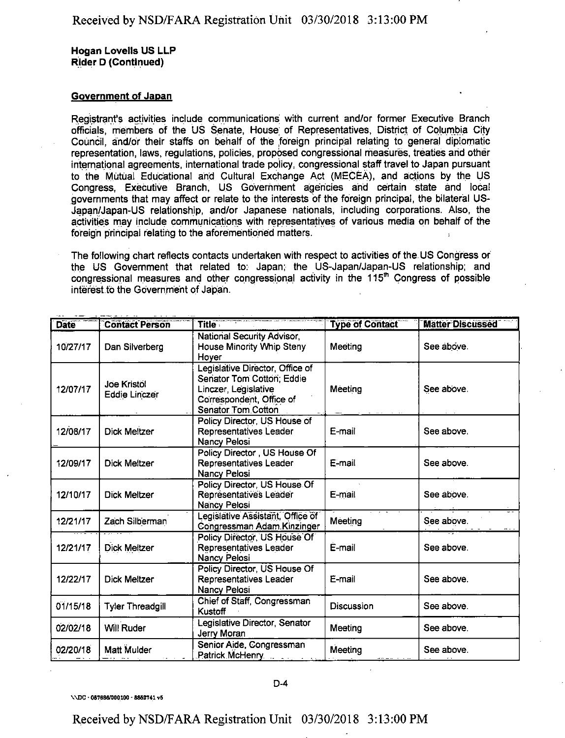**Hogan Lovells US LLP Rider D (Continued)**

#### **Government of Japan**

Registrant's activities include communications with current and/or former Executive Branch officials, members of the US Senate, House; of Representatives, District of Columbia City Council, and/or their staffs on behalf of the foreign principal relating to general diplomatic representation, laws, regulations, policies, proposed congressional measures, treaties arid other international agreements, international trade policy, congressional staff travel to Japan pursuant to the Mutual Educational and Cultural Exchange Act (MECEA), and actions by the US Congress, Executive Branch, US Government agencies and certain state and local governments that may affect or relate to the interests bf the foreign principal, the bilateral US-Japan/Japan-US relationship, and/or Japanese nationals, including corporations. Also, the activities may include communications with representatives of various media on behalf of the foreign principal relating to the aforementioned matters.

The following chart reflects contacts undertaken with respect to activities of the US Congress or the US Government that related to: Japan; the US-Japan/Japan-US relationship; and congressional measures and other congressional activity in the  $115<sup>th</sup>$  Congress of possible interest to the Government of Japan.

| <b>Date</b> | <b>Contact Person</b>                      | Title <b>The Community</b>                                                                                                             | <b>Type of Contact</b> | <b>Mätter Discussed</b> |
|-------------|--------------------------------------------|----------------------------------------------------------------------------------------------------------------------------------------|------------------------|-------------------------|
| 10/27/17    | Dan Silverberg                             | <b>National Security Advisor</b><br>House Minority Whip Steny<br>Hoyer                                                                 | Meeting                | See above.              |
| 12/07/17    | <b>Joe Kristol</b><br><b>Eddie Linczer</b> | Legislative Director, Office of<br>Senator Tom Cotton; Eddie<br>Linczer, Legislative<br>Correspondent, Office of<br>Senator Tom Cotton | Meeting                | See above.              |
| 12/08/17    | <b>Dick Meltzer</b>                        | Policy Director, US House of<br>Representatives Leader<br>Nancy Pelosi                                                                 | E-mail                 | See above.              |
| 12/09/17    | <b>Dick Meltzer</b>                        | Policy Director, US House Of<br>Representatives Leader<br><b>Nancy Pelosi</b>                                                          | E-mail                 | See above.              |
| 12/10/17    | <b>Dick Meltzer</b>                        | Policy Director, US House Of<br>Représentativés Leader<br><b>Nancy Pelosi</b>                                                          | E-mail                 | See above.              |
| 12/21/17    | Zach Silberman                             | Legislative Assistant, Office of<br>Congressman Adam Kinzinger                                                                         | Meeting                | See above.              |
| 12/21/17    | <b>Dick Meltzer</b>                        | Policy Director, US House Of<br>Representatives Leader<br>Nancy Pelosi                                                                 | E-mail                 | See above.              |
| 12/22/17    | <b>Dick Meltzer</b>                        | Policy Director, US House Of<br>Representatives Leader<br>Nancy Pelosi                                                                 | E-mail                 | See above.              |
| 01/15/18    | <b>Tyler Threadgill</b>                    | Chief of Staff, Congressman<br>Kustoff                                                                                                 | Discussion             | See above.              |
| 02/02/18    | Will Ruder                                 | Legislative Director, Senator<br>Jerry Moran                                                                                           | Meeting                | See above.              |
| 02/20/18    | Matt Mulder                                | Senior Aide, Congressman<br>Patrick McHenry Patrick Patrick                                                                            | Meeting                | See above.              |

\\DC • 087686/000100 - 8662741 v6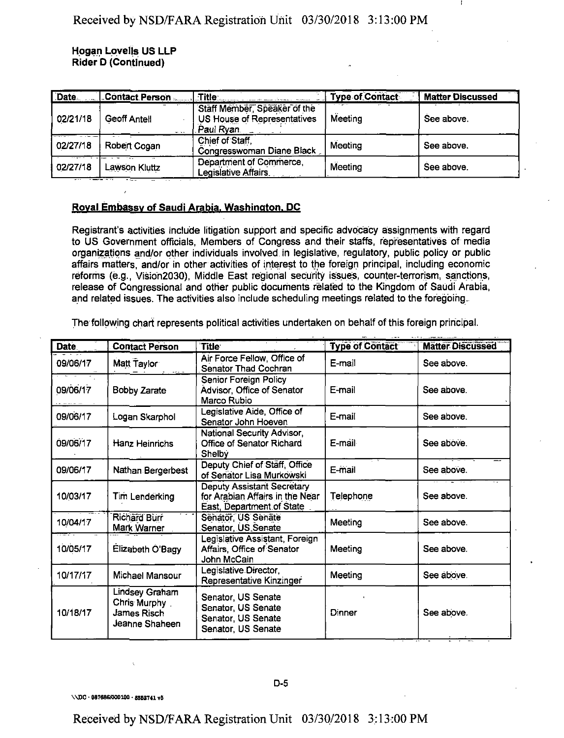#### **Hogan Lovells US LLP Rider D (Continued)**

| Date     | Contact Person      | $\blacksquare$ Title $\square$                                            | <b>Type of Contact</b> | - - - - -<br><b>Matter Discussed</b> |
|----------|---------------------|---------------------------------------------------------------------------|------------------------|--------------------------------------|
| 02/21/18 | <b>Geoff Antell</b> | Staff Member, Speaker of the<br>US House of Representatives<br>Paul Ryan. | Meeting                | See above.                           |
| 02/27/18 | Robert Cogan        | Chief of Staff<br>Congresswoman Diane Black                               | Meeting                | See above.                           |
| 02/27/18 | Lawson Kluttz       | Department of Commerce.<br>Legislative Affairs                            | Meeting                | See above.                           |

#### **Roval Embassy of Saudi Arabia. Washington. DC**

Registrant's activities include litigation support and specific advocacy assignments with regard to US Government officials, Members of Congress and their staffs, representatives of media organizations and/or other individuals involved in legislative, regulatory, public policy or public affairs matters, and/or in other activities of interest to the foreign principal, including economic reforms (e.g., Vision2030), Middle East regional security issues, counter-terrorism, sanctions, release of Congressional and other public documents related to the Kingdom of Saudi Arabia, and related issues. The activities also include scheduling meetings related to the foregoing.

The following chart represents political activities undertaken on behalf of this foreign principal.

| Date     | <b>Contact Person</b>                                                  | <b>Title</b>                                                                                      | <b>Type of Contact</b> | <b>Matter Discussed</b> |
|----------|------------------------------------------------------------------------|---------------------------------------------------------------------------------------------------|------------------------|-------------------------|
| 09/06/17 | Matt Taylor                                                            | Air Force Fellow, Office of<br>Senator Thad Cochran                                               | E-mail                 | See above.              |
| 09/06/17 | <b>Bobby Zarate</b>                                                    | Senior Foreign Policy<br>Advisor, Office of Senator<br>Marco Rubio                                | E-mail                 | See above.              |
| 09/06/17 | Logan Skarphol                                                         | Legislative Aide, Office of<br>Senator John Hoeven                                                | E-mail                 | See above.              |
| 09/06/17 | Hanz Heinrichs                                                         | National Security Advisor,<br>Office of Senator Richard<br>Shelby                                 | E-mail                 | See above.              |
| 09/06/17 | Nathan Bergerbest                                                      | Deputy Chief of Staff, Office<br>of Senator Lisa Murkowski                                        | E-mail                 | See above.              |
| 10/03/17 | Tim Lenderking                                                         | <b>Deputy Assistant Secretary</b><br>for Arabian Affairs in the Near<br>East, Department of State | Telephone              | See above.              |
| 10/04/17 | Richard Burr<br>Mark Warner                                            | Senator, US Senate<br>Senator, US Senate                                                          | Meeting                | See above.              |
| 10/05/17 | Elizabeth O'Bagy                                                       | Legislative Assistant, Foreign<br>Affairs, Office of Senator<br>John McCain                       | Meeting                | See above.              |
| 10/17/17 | Michael Mansour                                                        | Legislative Director,<br>Representative Kinzinger                                                 | Meeting                | See above.              |
| 10/18/17 | Lindsey Graham<br>Chris Murphy<br><b>James Risch</b><br>Jeanne Shaheen | Senator, US Senate<br>Senator, US Senate<br>Senator, US Senate<br>Senator, US Senate              | Dinner                 | See above.              |

**D-5**

VUC • 087686/000100 • 88B2741 v5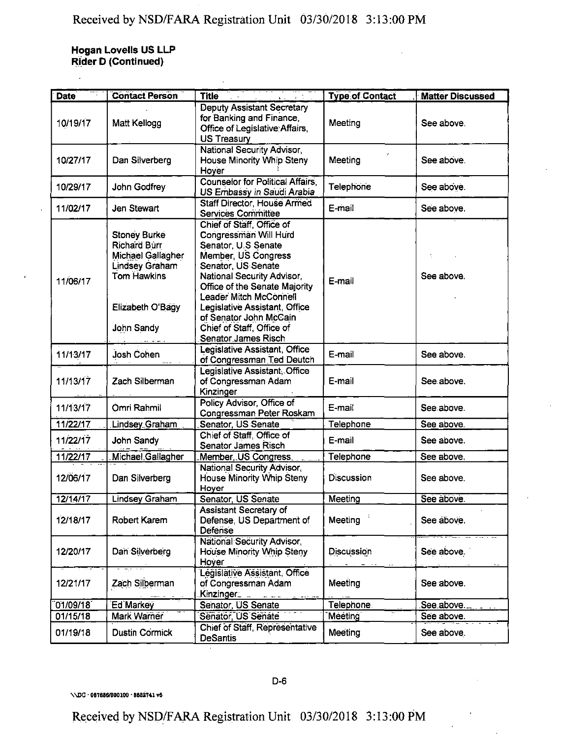**Hogan Lovells US LLP Rider D (Continued)**

 $\bar{\bar{z}}$ 

| <b>Date</b> | <b>Contact Person</b>                                                                                                                            | $\frac{1}{1-\epsilon} \left( \frac{1}{1-\epsilon} \right)^{\frac{1}{2}} \left( \frac{1}{1-\epsilon} \right)^{\frac{1}{2}} \left( \frac{1}{1-\epsilon} \right)^{\frac{1}{2}} \left( \frac{1}{1-\epsilon} \right)^{\frac{1}{2}} \left( \frac{1}{1-\epsilon} \right)^{\frac{1}{2}} \left( \frac{1}{1-\epsilon} \right)^{\frac{1}{2}} \left( \frac{1}{1-\epsilon} \right)^{\frac{1}{2}} \left( \frac{1}{1-\epsilon} \right)^{\frac{1}{2}} \left( \frac{1}{1-\epsilon} \right)^{\frac{1}{2}} \left( \frac{1}{1-\epsilon} \$<br><b>Title</b> | <b>Type of Contact</b> | <b>Matter Discussed</b> |
|-------------|--------------------------------------------------------------------------------------------------------------------------------------------------|----------------------------------------------------------------------------------------------------------------------------------------------------------------------------------------------------------------------------------------------------------------------------------------------------------------------------------------------------------------------------------------------------------------------------------------------------------------------------------------------------------------------------------------|------------------------|-------------------------|
| 10/19/17    | Matt Kellogg                                                                                                                                     | <b>Deputy Assistant Secretary</b><br>for Banking and Finance,<br>Office of Legislative Affairs,<br>US Treasury                                                                                                                                                                                                                                                                                                                                                                                                                         | Meeting                | See above.              |
| 10/27/17    | Dan Silverberg                                                                                                                                   | National Security Advisor,<br>House Minority Whip Steny<br>Hoyer                                                                                                                                                                                                                                                                                                                                                                                                                                                                       | Meeting                | See above.              |
| 10/29/17    | John Godfrey                                                                                                                                     | <b>Counselor for Political Affairs,</b><br>US Embassy in Saudi Arabia                                                                                                                                                                                                                                                                                                                                                                                                                                                                  | Telephone              | See above.              |
| 11/02/17    | Jen Stewart                                                                                                                                      | Staff Director, House Armed<br><b>Services Committee</b>                                                                                                                                                                                                                                                                                                                                                                                                                                                                               | E-mail                 | See above.              |
| 11/06/17    | <b>Stoney Burke</b><br><b>Richard Burr</b><br>Michael Gallagher<br><b>Lindsey Graham</b><br><b>Tom Hawkins</b><br>Elizabeth O'Bagy<br>John Sandy | Chief of Staff, Office of<br>Congressman Will Hurd<br>Senator, U.S Senate<br>Member, US Congress<br>Senator, US Senate<br>National Security Advisor,<br>Office of the Senate Majority<br>Leader Mitch McConnell<br>Legislative Assistant, Office<br>of Senator John McCain<br>Chief of Staff, Office of<br>Senator James Risch                                                                                                                                                                                                         | E-mail                 | See above.              |
| 11/13/17    | Josh Cohen                                                                                                                                       | Legislative Assistant, Office<br>of Congressman Ted Deutch                                                                                                                                                                                                                                                                                                                                                                                                                                                                             | E-mail                 | See above.              |
| 11/13/17    | Zach Silberman                                                                                                                                   | Legislative Assistant, Office<br>of Congressman Adam<br>Kinzinger                                                                                                                                                                                                                                                                                                                                                                                                                                                                      | E-mail                 | See above.              |
| 11/13/17    | Omri Rahmil                                                                                                                                      | Policy Advisor, Office of<br>Congressman Peter Roskam                                                                                                                                                                                                                                                                                                                                                                                                                                                                                  | E-mail                 | See above.              |
| 11/22/17    | Lindsey Graham                                                                                                                                   | Senator, US Senate                                                                                                                                                                                                                                                                                                                                                                                                                                                                                                                     | Telephone              | See above.              |
| 11/22/17    | John Sandy                                                                                                                                       | Chief of Staff, Office of<br>Senator James Risch                                                                                                                                                                                                                                                                                                                                                                                                                                                                                       | E-mail                 | See above.              |
| 11/22/17    | Michael Gallagher                                                                                                                                | Member, US Congress.                                                                                                                                                                                                                                                                                                                                                                                                                                                                                                                   | Telephone              | See above.              |
| 12/06/17    | Dan Silverberg                                                                                                                                   | National Security Advisor,<br><b>House Minority Whip Steny</b><br>Hover                                                                                                                                                                                                                                                                                                                                                                                                                                                                | <b>Discussion</b>      | See above.              |
| 12/14/17    | Lindsey Graham                                                                                                                                   | Senator, US Senate                                                                                                                                                                                                                                                                                                                                                                                                                                                                                                                     | Meeting                | See above.              |
| 12/18/17    | Robert Karem                                                                                                                                     | <b>Assistant Secretary of</b><br>Defense, US Department of<br>Defense                                                                                                                                                                                                                                                                                                                                                                                                                                                                  | Meeting                | See above.              |
| 12/20/17    | Dan Silverberg                                                                                                                                   | National Security Advisor,<br>House Minority Whip Steny<br>Hoyer                                                                                                                                                                                                                                                                                                                                                                                                                                                                       | Discussion             | See above.              |
| 12/21/17    | Zach Silberman                                                                                                                                   | Législative Assistant, Office<br>of Congressman Adam<br>Kinzinger_                                                                                                                                                                                                                                                                                                                                                                                                                                                                     | Meeting                | See above.              |
| 01/09/18    | Ed Markey                                                                                                                                        | Senator, US Senate                                                                                                                                                                                                                                                                                                                                                                                                                                                                                                                     | Telephone.             | See above               |
| 01/15/18    | Mark Warner                                                                                                                                      | Senator, US Senate                                                                                                                                                                                                                                                                                                                                                                                                                                                                                                                     | Mééting                | See above.              |
| 01/19/18    | <b>Dustin Cormick</b>                                                                                                                            | Chief of Staff, Representative<br><b>DeSantis</b>                                                                                                                                                                                                                                                                                                                                                                                                                                                                                      | Meeting                | See above.              |

\\DC - 087666/000100 • 8862741 v6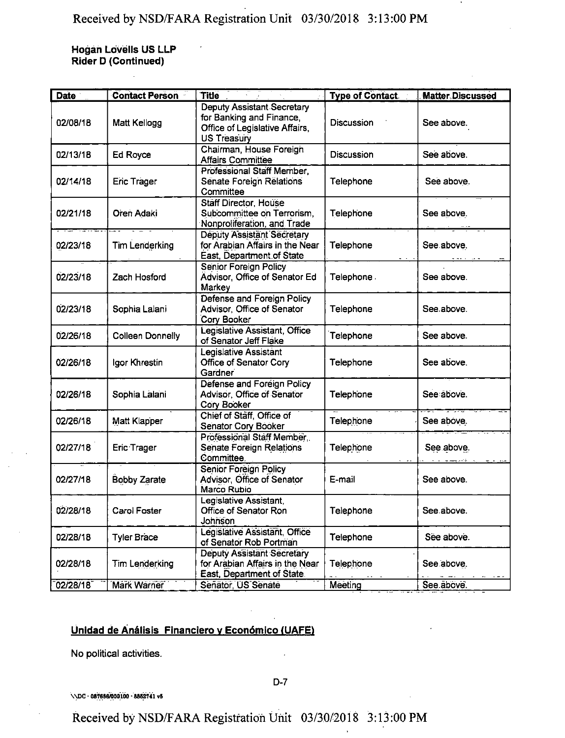**Hogan Lovells US LLF Rider D (Continued)**

| Date           | <b>Contact Person</b>   | <b>Title</b>                                                                                                   | <b>Type of Contact.</b> | <b>Matter Discussed</b> |
|----------------|-------------------------|----------------------------------------------------------------------------------------------------------------|-------------------------|-------------------------|
| 02/08/18       | Matt Kellogg            | Deputy Assistant Secretary<br>for Banking and Finance,<br>Office of Legislative Affairs,<br><b>US Treasury</b> | Discussion              | See above.              |
| 02/13/18       | Ed Royce                | Chairman, House Foreign<br><b>Affairs Committee</b>                                                            | Discussion              | See above.              |
| 02/14/18       | <b>Eric Trager</b>      | Professional Staff Member,<br>Senate Foreign Relations<br>Committee                                            | Telephone               | See above.              |
| 02/21/18       | Oren Adaki              | <b>Stäff Director, House</b><br>Subcommittee on Terrorism,<br>Nonproliferation, and Trade                      | Telephone               | See above.              |
| 02/23/18       | <b>Tim Lenderking</b>   | Deputy Assistant Secretary<br>for Arabian Affairs in the Near<br>East, Department of State                     | Telephone               | See above.              |
| 02/23/18       | Zach Hosford            | Senior Foreign Policy<br>Advisor, Office of Senator Ed<br>Markey                                               | Telephone.              | See above.              |
| 02/23/18       | Sophia Lalani           | Defense and Foreign Policy<br>Advisor, Office of Senator<br>Cory Booker                                        | Telephone               | See above.              |
| 02/26/18       | <b>Colleen Donnelly</b> | Legislative Assistant, Office<br>of Senator Jeff Flake                                                         | Telephone               | See above.              |
| 02/26/18       | Igor Khrestin           | Legislative Assistant<br>Office of Senator Cory<br>Gardner                                                     | Telephone               | See above.              |
| 02/26/18       | Sophia Lalani           | Defense and Foreign Policy<br>Advisor, Office of Senator<br>Cory Booker                                        | Telephone               | See above.              |
| 02/26/18       | Matt Klapper            | Chief of Staff, Office of<br>Senator Cory Booker                                                               | Telephone               | See above.              |
| 02/27/18       | <b>Eric Trager</b>      | Professional Staff Member,<br>Senate Foreign Relations<br>Committee.                                           | Telephone               | See above.              |
| 02/27/18       | <b>Bobby Zarate</b>     | Senior Foreign Policy<br>Advisor, Office of Senator<br>Marco Rubio                                             | E-mail                  | See above.              |
| 02/28/18       | Carol Foster            | Legislative Assistant,<br>Office of Senator Ron<br>Johnson                                                     | Telephone               | See above.              |
| 02/28/18       | <b>Tyler Brace</b>      | Legislative Assistant, Office<br>of Senator Rob Portman                                                        | Telephone               | See above.              |
| 02/28/18       | <b>Tim Lenderking</b>   | Deputy Assistant Secretary<br>for Arabian Affairs in the Near<br>East, Department of State.                    | Telephone               | See above.              |
| $02/28/18^{-}$ | Märk Wärner             | Señator, US Senate                                                                                             | Meeting                 | See above.              |

## Unidad de Análisis Financiero y Económico (UAFE)

No political activities.

\\DC - 087686/000100 - 8862741 vS

Received by NSD/FARA Registration Unit 03/30/2018 3:13:00PM

D-7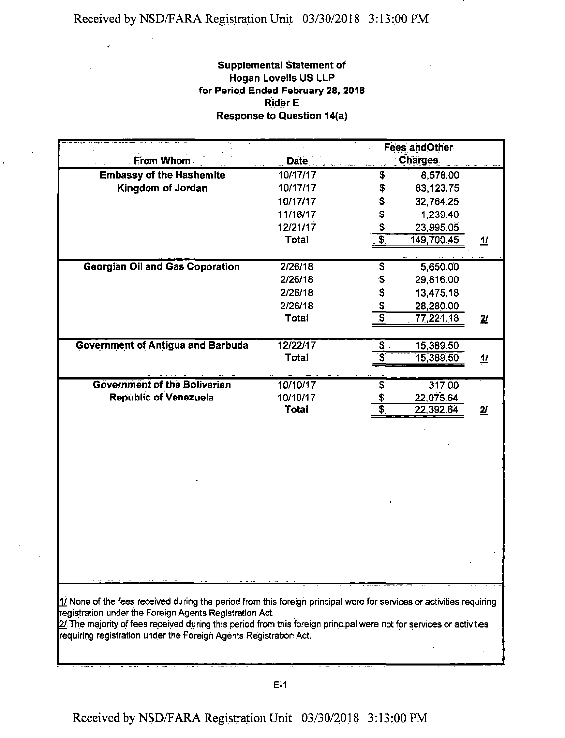J.

## **Supplemental Statement of Hogan Lovells US LLP for Period Ended February 28, 2018 Rider E Response to Question 14(a)**

|                                                                                                                                                                                |             | <b>Fees andOther</b>                                                |
|--------------------------------------------------------------------------------------------------------------------------------------------------------------------------------|-------------|---------------------------------------------------------------------|
| From Whom                                                                                                                                                                      | <b>Date</b> | Charges.                                                            |
| <b>Embassy of the Hashemite</b>                                                                                                                                                | 10/17/17    | 8,578.00<br>\$                                                      |
| Kingdom of Jordan                                                                                                                                                              | 10/17/17    | 83,123.75<br>\$                                                     |
|                                                                                                                                                                                | 10/17/17    | \$<br>32.764.25                                                     |
|                                                                                                                                                                                | 11/16/17    | \$<br>1,239.40                                                      |
|                                                                                                                                                                                | 12/21/17    | \$<br>23,995.05                                                     |
|                                                                                                                                                                                | Total       | 3<br>149,700.45<br>$\overline{\pi}$                                 |
|                                                                                                                                                                                |             |                                                                     |
| <b>Georgian Oil and Gas Coporation</b>                                                                                                                                         | 2/26/18     | \$<br>5,650.00                                                      |
|                                                                                                                                                                                | 2/26/18     | 29,816.00<br>\$<br>\$                                               |
|                                                                                                                                                                                | 2/26/18     | 13,475.18                                                           |
|                                                                                                                                                                                | 2/26/18     | \$<br>28,280.00                                                     |
|                                                                                                                                                                                | Total       | $\overline{\boldsymbol{\mathsf{s}}}$<br>77,221.18<br>$\overline{2}$ |
|                                                                                                                                                                                |             |                                                                     |
| <b>Government of Antigua and Barbuda</b>                                                                                                                                       | 12/22/17    | \$<br>15,389.50                                                     |
|                                                                                                                                                                                | Total       | 15,389.50<br>$\mathbf{\underline{1}}$                               |
| <b>Government of the Bolivarian</b>                                                                                                                                            | 10/10/17    | \$<br>317.00                                                        |
| <b>Republic of Venezuela</b>                                                                                                                                                   | 10/10/17    | 22,075.64                                                           |
|                                                                                                                                                                                | Total       | 22,392.64<br>$\overline{\mathbf{z}}$                                |
|                                                                                                                                                                                |             |                                                                     |
|                                                                                                                                                                                |             |                                                                     |
|                                                                                                                                                                                |             |                                                                     |
|                                                                                                                                                                                |             |                                                                     |
|                                                                                                                                                                                |             |                                                                     |
|                                                                                                                                                                                |             |                                                                     |
|                                                                                                                                                                                |             |                                                                     |
|                                                                                                                                                                                |             |                                                                     |
|                                                                                                                                                                                |             |                                                                     |
|                                                                                                                                                                                |             |                                                                     |
|                                                                                                                                                                                |             |                                                                     |
|                                                                                                                                                                                |             |                                                                     |
|                                                                                                                                                                                |             |                                                                     |
|                                                                                                                                                                                |             |                                                                     |
| $1/2$ None of the fees received during the period from this foreign principal were for services or activities requiring                                                        |             |                                                                     |
| registration under the Foreign Agents Registration Act.<br>2/ The majority of fees received during this period from this foreign principal were not for services or activities |             |                                                                     |
| requiring registration under the Foreign Agents Registration Act.                                                                                                              |             |                                                                     |
|                                                                                                                                                                                |             |                                                                     |
|                                                                                                                                                                                |             |                                                                     |

J.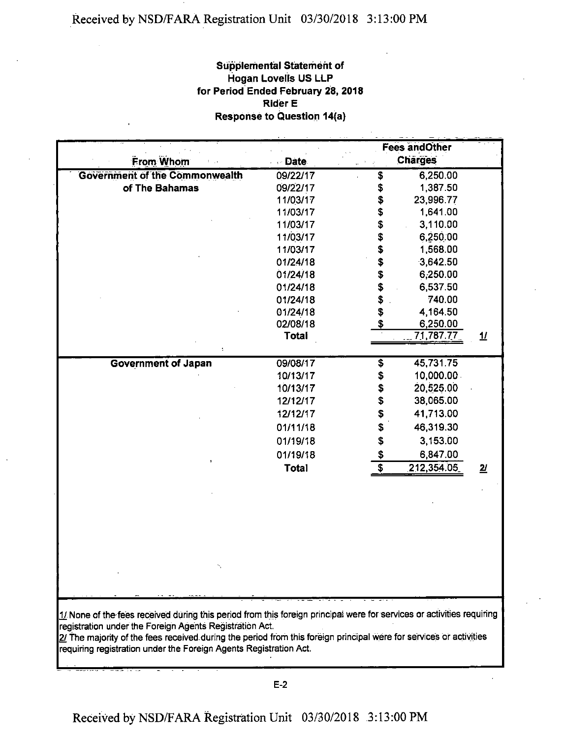## **Supplemental Statement of Hogan Lovells US LLP for Period Ended February 28, 2018 Rider E Response to Question 14(a)**

|                                                                                                                       |              |                                      | <b>Fees andOther</b> |                          |
|-----------------------------------------------------------------------------------------------------------------------|--------------|--------------------------------------|----------------------|--------------------------|
| From Whom                                                                                                             | <b>Date</b>  |                                      | <b>Charges</b>       |                          |
| <b>Government of the Commonwealth</b>                                                                                 | 09/22/17     | \$                                   | 6,250.00             |                          |
| of The Bahamas                                                                                                        | 09/22/17     | \$                                   | 1,387.50             |                          |
|                                                                                                                       | 11/03/17     | \$                                   | 23,996.77            |                          |
|                                                                                                                       | 11/03/17     | \$                                   | 1,641.00             |                          |
|                                                                                                                       | 11/03/17     | \$                                   | 3,110.00             |                          |
|                                                                                                                       | 11/03/17     | \$<br>\$                             | 6,250.00             |                          |
|                                                                                                                       | 11/03/17     |                                      | 1,568.00             |                          |
|                                                                                                                       | 01/24/18     | \$                                   | 3,642.50             |                          |
|                                                                                                                       | 01/24/18     | \$                                   | 6,250.00             |                          |
|                                                                                                                       | 01/24/18     |                                      | 6,537.50             |                          |
|                                                                                                                       | 01/24/18     |                                      | 740.00               |                          |
|                                                                                                                       | 01/24/18     | \$\$\$\$                             | 4,164.50             |                          |
|                                                                                                                       | 02/08/18     |                                      | 6,250.00             |                          |
|                                                                                                                       | <b>Total</b> |                                      | 71,787.77            | $\mathbf{\underline{1}}$ |
|                                                                                                                       |              |                                      |                      |                          |
| <b>Government of Japan</b>                                                                                            | 09/08/17     | $\overline{\boldsymbol{\mathsf{s}}}$ | 45,731.75            |                          |
|                                                                                                                       | 10/13/17     | \$                                   | 10,000.00            |                          |
|                                                                                                                       | 10/13/17     | \$                                   | 20,525.00            |                          |
|                                                                                                                       | 12/12/17     | \$                                   | 38,065.00            |                          |
|                                                                                                                       | 12/12/17     | \$                                   | 41,713.00            |                          |
|                                                                                                                       | 01/11/18     | \$                                   | 46,319.30            |                          |
|                                                                                                                       | 01/19/18     | \$                                   | 3,153.00             |                          |
|                                                                                                                       | 01/19/18     |                                      | 6,847.00             |                          |
|                                                                                                                       | <b>Total</b> | $\frac{\$}{\$}$                      | 212,354.05           | 2 <sub>l</sub>           |
|                                                                                                                       |              |                                      |                      |                          |
|                                                                                                                       |              |                                      |                      |                          |
|                                                                                                                       |              |                                      |                      |                          |
|                                                                                                                       |              |                                      |                      |                          |
|                                                                                                                       |              |                                      |                      |                          |
|                                                                                                                       |              |                                      |                      |                          |
|                                                                                                                       |              |                                      |                      |                          |
|                                                                                                                       |              |                                      |                      |                          |
|                                                                                                                       |              |                                      |                      |                          |
|                                                                                                                       |              |                                      |                      |                          |
|                                                                                                                       |              |                                      |                      |                          |
| 1/ None of the fees received during this period from this foreign principal were for services or activities requiring |              |                                      |                      |                          |
| registration under the Foreign Agents Registration Act.                                                               |              |                                      |                      |                          |
| 2/ The majority of the fees received during the period from this foreign principal were for services or activities    |              |                                      |                      |                          |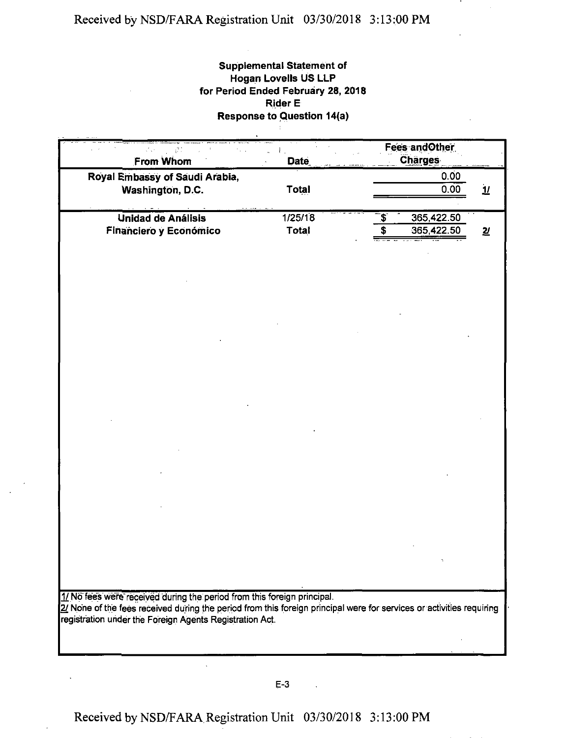#### **Supplemental Statement of Hogan Lovells US LLP for Period Ended February 28, 2018 Rider E Response to Question 14(a)**  $\frac{1}{4}$  .

| ψĐ<br>From Whom                                                                                                                                                                                 | Date         | <b>Fees and Other</b><br><b>Charges</b> |                          |
|-------------------------------------------------------------------------------------------------------------------------------------------------------------------------------------------------|--------------|-----------------------------------------|--------------------------|
| Royal Embassy of Saudi Arabia,<br>Washington, D.C.                                                                                                                                              | <b>Total</b> | 0.00<br>0.00                            | $\mathbf{\underline{u}}$ |
|                                                                                                                                                                                                 |              |                                         |                          |
| Unidad de Análisis                                                                                                                                                                              | 1/25/18      | \$<br>365,422.50                        |                          |
| Financiero y Económico                                                                                                                                                                          | Total        | \$<br>365,422.50                        | $\overline{\mathbf{z}}$  |
|                                                                                                                                                                                                 |              |                                         |                          |
|                                                                                                                                                                                                 |              |                                         |                          |
|                                                                                                                                                                                                 |              |                                         |                          |
|                                                                                                                                                                                                 |              |                                         |                          |
|                                                                                                                                                                                                 |              |                                         |                          |
|                                                                                                                                                                                                 |              |                                         |                          |
|                                                                                                                                                                                                 |              |                                         |                          |
|                                                                                                                                                                                                 |              |                                         |                          |
|                                                                                                                                                                                                 |              |                                         |                          |
|                                                                                                                                                                                                 |              |                                         |                          |
|                                                                                                                                                                                                 |              |                                         |                          |
|                                                                                                                                                                                                 |              |                                         |                          |
|                                                                                                                                                                                                 |              |                                         |                          |
|                                                                                                                                                                                                 |              |                                         |                          |
|                                                                                                                                                                                                 |              |                                         |                          |
|                                                                                                                                                                                                 |              |                                         |                          |
|                                                                                                                                                                                                 |              |                                         |                          |
|                                                                                                                                                                                                 |              |                                         |                          |
|                                                                                                                                                                                                 |              |                                         |                          |
| 1/ No fees were received during the period from this foreign principal.<br>2/ None of the fees received during the period from this foreign principal were for services or activities requiring |              |                                         |                          |
| registration under the Foreign Agents Registration Act.                                                                                                                                         |              |                                         |                          |
|                                                                                                                                                                                                 |              |                                         |                          |
|                                                                                                                                                                                                 |              |                                         |                          |

 $\ddot{\phantom{a}}$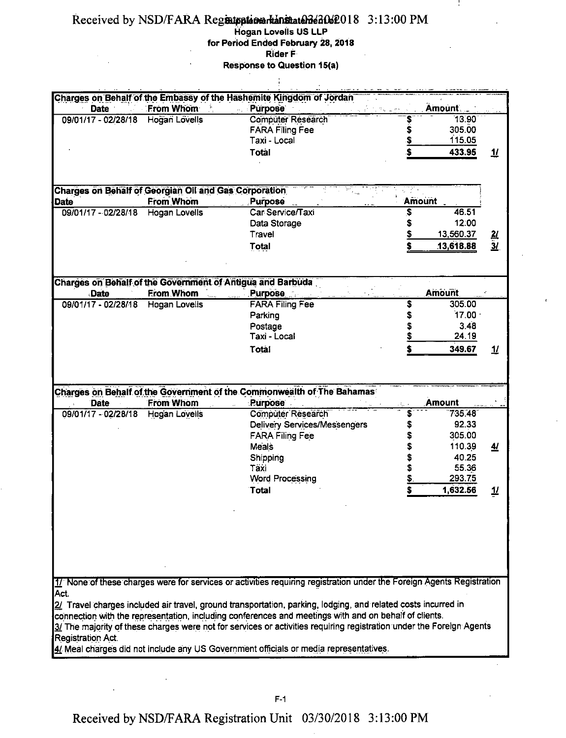### Received by NSD/FARA Registrationarkanistatenden 2:13:00 PM **Hogan Lovells US LLP**

**for Period Ended February 28, 2018**

÷

**RiderF**

**Response to Question 15(a)**  $\ddot{\phantom{a}}$ 

|                                                              |                      | Charges on Behalf of the Embassy of the Hashemite Kingdom of Jordan                                                   |                |               |                          |
|--------------------------------------------------------------|----------------------|-----------------------------------------------------------------------------------------------------------------------|----------------|---------------|--------------------------|
| Date                                                         | From Whom            | <b>Purpose</b>                                                                                                        |                | <b>Amount</b> |                          |
| 09/01/17 - 02/28/18                                          | Hogan Lovells        | Computer Research                                                                                                     |                | 13.90         |                          |
|                                                              |                      | <b>FARA Filing Fee</b>                                                                                                | \$             | 305.00        |                          |
|                                                              |                      | Taxi - Local                                                                                                          | \$             | 115.05        |                          |
|                                                              |                      | <b>Total</b>                                                                                                          | \$             | 433.95        | $\mathbf{\underline{1}}$ |
|                                                              |                      |                                                                                                                       |                |               |                          |
| <b>Charges on Behalf of Georgian Oil and Gas Corporation</b> |                      |                                                                                                                       |                |               |                          |
| <b>Date</b>                                                  | <b>From Whom</b>     | Purpose                                                                                                               | Amount         |               |                          |
| 09/01/17 - 02/28/18                                          | Hogan Lovells        | Car Service/Taxi                                                                                                      | \$             | 46.51         |                          |
|                                                              |                      | Data Storage                                                                                                          | \$             | 12:00         |                          |
|                                                              |                      | Travel                                                                                                                | Ş              | 13,560.37     | $\frac{2l}{3l}$          |
|                                                              |                      | Total                                                                                                                 |                | 13,618.88     |                          |
|                                                              |                      |                                                                                                                       |                |               |                          |
| Date                                                         | <b>From Whom</b>     | Charges on Behalf of the Government of Antigua and Barbuda<br>Purpose                                                 |                | <b>Amount</b> |                          |
| 09/01/17 - 02/28/18                                          | <b>Hogan Lovells</b> | <b>FARA Filing Fee</b>                                                                                                | \$             | 305.00        |                          |
|                                                              |                      | Parking                                                                                                               | \$             | $17.00 -$     |                          |
|                                                              |                      | Postage                                                                                                               | \$             | 3.48          |                          |
|                                                              |                      | Taxi - Local                                                                                                          | \$             | 24.19         |                          |
|                                                              |                      | Total                                                                                                                 |                | 349.67        | $\mathbf{\mathcal{H}}$   |
|                                                              |                      |                                                                                                                       |                |               |                          |
|                                                              |                      |                                                                                                                       |                |               |                          |
|                                                              |                      |                                                                                                                       |                |               |                          |
| Date                                                         | From Whom            | Charges on Behalf of the Government of the Commonwealth of The Bahamas<br><b>Purpose</b>                              |                | <b>Amount</b> |                          |
| 09/01/17 - 02/28/18                                          | Hogan Lovells        | Computer Research                                                                                                     | \$             | 735.48        |                          |
|                                                              |                      | <b>Delivery Services/Messengers</b>                                                                                   | \$             | 92.33         |                          |
|                                                              |                      | <b>FARA Filing Fee</b>                                                                                                | \$             | 305.00        |                          |
|                                                              |                      | Meals                                                                                                                 |                | 110.39        | <u>41</u>                |
|                                                              |                      |                                                                                                                       | \$             | 40.25         |                          |
|                                                              |                      | Shipping<br>Täxi                                                                                                      | \$<br>\$       | 55.36         |                          |
|                                                              |                      | <b>Word Processing</b>                                                                                                | $\overline{z}$ | 293.75        |                          |
|                                                              |                      | <b>Total</b>                                                                                                          |                | 1,632.56      | $\overline{\mathbf{u}}$  |
|                                                              |                      |                                                                                                                       |                |               |                          |
|                                                              |                      |                                                                                                                       |                |               |                          |
|                                                              |                      |                                                                                                                       |                |               |                          |
|                                                              |                      |                                                                                                                       |                |               |                          |
|                                                              |                      |                                                                                                                       |                |               |                          |
|                                                              |                      | 1/ None of these charges were for services or activities requiring registration under the Foreign Agents Registration |                |               |                          |
| Act.                                                         |                      |                                                                                                                       |                |               |                          |
|                                                              |                      | 2/ Travel charges included air travel, ground transportation, parking, lodging, and related costs incurred in         |                |               |                          |
|                                                              |                      | connection with the representation, including conferences and meetings with and on behalf of clients.                 |                |               |                          |
|                                                              |                      | 3/ The majority of these charges were not for services or activities requiring registration under the Foreign Agents  |                |               |                          |
| <b>Registration Act.</b>                                     |                      | 4/ Meal charges did not include any US Government officials or media representatives.                                 |                |               |                          |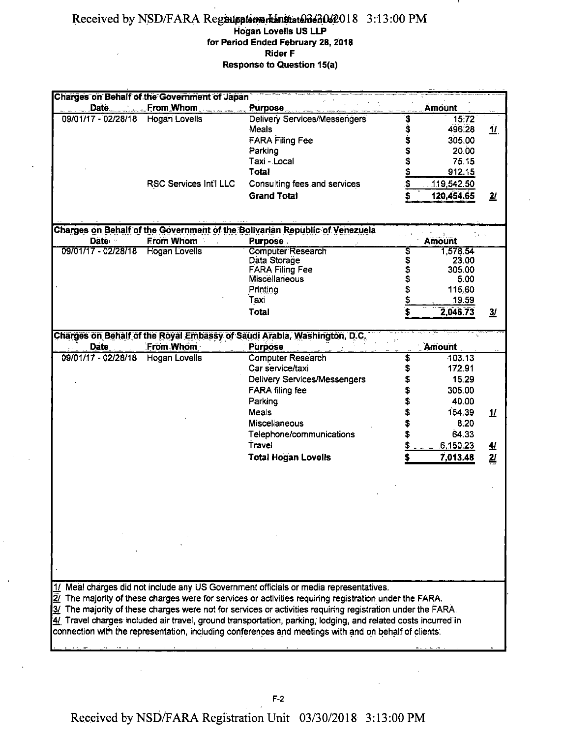#### Received by NSD/FARA Registroiten Hanstaten 6202018 3:13:00 PM **Hogan Lovells US LLP for Period Ended February 28,2018 Rider F Response to Question 15(a)**

| <b>Charges on Behalf of the Government of Japan</b> |                        |                                                                                                               |              |               |                          |
|-----------------------------------------------------|------------------------|---------------------------------------------------------------------------------------------------------------|--------------|---------------|--------------------------|
| Date                                                | From Whom              | Purpose                                                                                                       |              | Amount        |                          |
| 09/01/17 - 02/28/18                                 | <b>Hogan Lovells</b>   | <b>Delivery Services/Messengers</b>                                                                           |              | 15.72         |                          |
|                                                     |                        | Meals                                                                                                         | \$8.89       | 496.28        | <u>11</u>                |
|                                                     |                        | <b>FARA Filing Fee</b>                                                                                        |              | 305.00        |                          |
|                                                     |                        | Parking                                                                                                       | \$           | 20.00         |                          |
|                                                     |                        | Taxi - Local                                                                                                  | \$           | 75.15         |                          |
|                                                     |                        | Total                                                                                                         | \$           | 912.15        |                          |
|                                                     | RSC Services Int'l LLC | Consulting fees and services                                                                                  | \$           | 119,542.50    |                          |
|                                                     |                        | <b>Grand Total</b>                                                                                            |              |               |                          |
|                                                     |                        |                                                                                                               |              | 120,454.65    | $\overline{2l}$          |
|                                                     |                        |                                                                                                               |              |               |                          |
|                                                     |                        | Charges on Behalf of the Government of the Bolivarian Republic of Venezuela                                   |              |               |                          |
| Date ·                                              | <b>From Whom</b>       | <b>Purpose</b>                                                                                                |              | <b>Amount</b> |                          |
| 09/01/17 - 02/28/18                                 | <b>Hogan Lovells</b>   | Computer Research                                                                                             |              | 1,578.54      |                          |
|                                                     |                        | Data Storage                                                                                                  | \$\$\$\$\$\$ | 23.00         |                          |
|                                                     |                        | <b>FARA Filing Fee</b>                                                                                        |              | 305.00        |                          |
|                                                     |                        | Miscellaneous                                                                                                 |              | 5.00          |                          |
|                                                     |                        |                                                                                                               |              |               |                          |
|                                                     |                        | Printing                                                                                                      |              | 115.60        |                          |
|                                                     |                        | Taxi                                                                                                          | \$           | 19.59         |                          |
|                                                     |                        | Total                                                                                                         | \$           | 2,046.73      | $\overline{\mathbf{3}l}$ |
|                                                     |                        |                                                                                                               |              |               |                          |
|                                                     |                        | Charges on Behalf of the Royal Embassy of Saudi Arabia, Washington, D.C.                                      |              |               |                          |
| <b>Date</b>                                         | From Whom              | <b>Purpose</b>                                                                                                |              | Amount        |                          |
| 09/01/17 - 02/28/18                                 | <b>Hogan Lovells</b>   | <b>Computer Research</b>                                                                                      | \$           | 103.13        |                          |
|                                                     |                        | Car service/taxi                                                                                              | \$           | 172.91        |                          |
|                                                     |                        | <b>Delivery Services/Messengers</b>                                                                           |              | 15.29         |                          |
|                                                     |                        | <b>FARA filing fee</b>                                                                                        |              | 305.00        |                          |
|                                                     |                        | Parking                                                                                                       | \$           | 40.00         |                          |
|                                                     |                        | Meals                                                                                                         |              | 154.39        | $\mathbf{\underline{1}}$ |
|                                                     |                        |                                                                                                               |              |               |                          |
|                                                     |                        | <b>Miscellaneous</b>                                                                                          |              | 8.20          |                          |
|                                                     |                        | Telephone/communications                                                                                      |              | 64.33         |                          |
|                                                     |                        | Travel                                                                                                        |              | .6,150.23     | $\overline{\mathcal{H}}$ |
|                                                     |                        | <b>Total Hogan Lovells</b>                                                                                    |              | 7,013.48      | $\overline{\mathbf{z}}$  |
|                                                     |                        |                                                                                                               |              |               |                          |
|                                                     |                        |                                                                                                               |              |               |                          |
|                                                     |                        |                                                                                                               |              |               |                          |
|                                                     |                        |                                                                                                               |              |               |                          |
|                                                     |                        |                                                                                                               |              |               |                          |
|                                                     |                        |                                                                                                               |              |               |                          |
|                                                     |                        |                                                                                                               |              |               |                          |
|                                                     |                        |                                                                                                               |              |               |                          |
|                                                     |                        |                                                                                                               |              |               |                          |
|                                                     |                        |                                                                                                               |              |               |                          |
|                                                     |                        |                                                                                                               |              |               |                          |
|                                                     |                        | 1/ Meal charges did not include any US Government officials or media representatives.                         |              |               |                          |
|                                                     |                        | $2/$ The majority of these charges were for services or activities requiring registration under the FARA.     |              |               |                          |
|                                                     |                        | 3/ The majority of these charges were not for services or activities requiring registration under the FARA.   |              |               |                          |
|                                                     |                        | 4/ Travel charges included air travel, ground transportation, parking, lodging, and related costs incurred in |              |               |                          |
|                                                     |                        | connection with the representation, including conferences and meetings with and on behalf of clients.         |              |               |                          |
|                                                     |                        |                                                                                                               |              |               |                          |
|                                                     |                        |                                                                                                               |              |               |                          |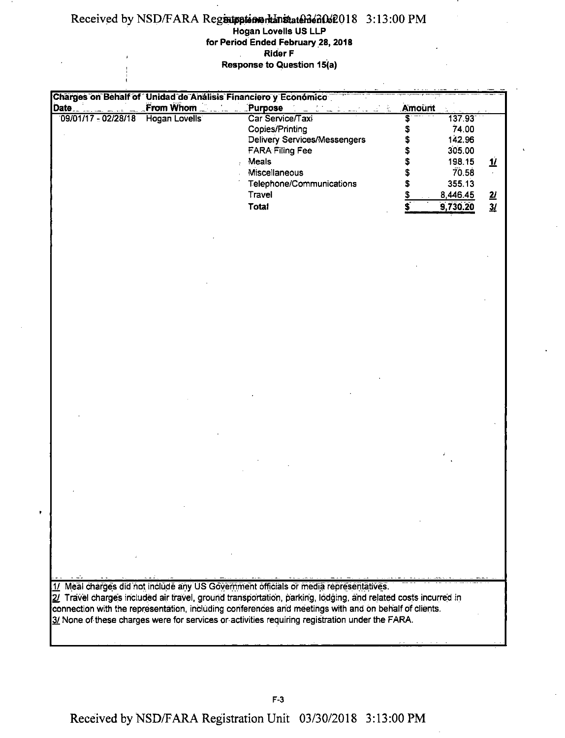## Received by NSD/FARA Registration than states 3.13:00 PM

 $\mathbf{I}$ 

**Hogan Lovells US LLP for Period Ended February 28,2018 Rider F**  $\mathcal{L}$ **, Response to Question 15(a)**

|                       | Charges on Behalf of Unidad de Análisis Financiero y Económico |                                                                                                               |               |                  |                         |
|-----------------------|----------------------------------------------------------------|---------------------------------------------------------------------------------------------------------------|---------------|------------------|-------------------------|
| Date                  | From Whom                                                      | Purpose                                                                                                       | <b>Amount</b> |                  |                         |
| $09/01/17 - 02/28/18$ | Hogan Lovells                                                  | Car Service/Taxi<br>Copies/Printing                                                                           | \$<br>\$      | 137 93<br>74.00  |                         |
|                       |                                                                | <b>Delivery Services/Messengers</b><br><b>FARA Filing Fee</b>                                                 |               | 142.96<br>305.00 |                         |
|                       |                                                                | Meals                                                                                                         |               | 198.15           | $\overline{\mathbf{u}}$ |
|                       |                                                                | Miscellaneous                                                                                                 |               | 70.58            | $\epsilon$              |
|                       |                                                                | Telephone/Communications                                                                                      |               | 355.13           |                         |
|                       |                                                                | Travel                                                                                                        | $\frac{5}{5}$ | 8,446.45         | $\frac{2I}{3I}$         |
|                       |                                                                | Total                                                                                                         |               | 9,730.20         |                         |
|                       |                                                                |                                                                                                               |               |                  |                         |
|                       |                                                                |                                                                                                               |               |                  |                         |
|                       |                                                                |                                                                                                               |               |                  |                         |
|                       |                                                                |                                                                                                               |               |                  |                         |
|                       |                                                                |                                                                                                               |               |                  |                         |
|                       |                                                                |                                                                                                               |               |                  |                         |
|                       |                                                                |                                                                                                               |               |                  |                         |
|                       |                                                                |                                                                                                               |               |                  |                         |
|                       |                                                                |                                                                                                               |               |                  |                         |
|                       |                                                                |                                                                                                               |               |                  |                         |
|                       |                                                                |                                                                                                               |               |                  |                         |
|                       |                                                                |                                                                                                               |               |                  |                         |
|                       |                                                                |                                                                                                               |               |                  |                         |
|                       |                                                                |                                                                                                               |               |                  |                         |
|                       |                                                                |                                                                                                               |               |                  |                         |
|                       |                                                                |                                                                                                               |               |                  |                         |
|                       |                                                                |                                                                                                               |               |                  |                         |
|                       |                                                                |                                                                                                               |               |                  |                         |
|                       |                                                                |                                                                                                               |               |                  |                         |
|                       |                                                                |                                                                                                               |               |                  |                         |
|                       |                                                                |                                                                                                               |               |                  |                         |
|                       |                                                                |                                                                                                               |               |                  |                         |
|                       |                                                                |                                                                                                               |               |                  |                         |
|                       |                                                                |                                                                                                               |               |                  |                         |
|                       |                                                                |                                                                                                               |               |                  |                         |
|                       |                                                                |                                                                                                               |               |                  |                         |
|                       |                                                                |                                                                                                               |               |                  |                         |
|                       |                                                                |                                                                                                               |               |                  |                         |
|                       |                                                                |                                                                                                               |               |                  |                         |
|                       |                                                                | 1/ Meal charges did not include any US Government officials or media representatives.                         |               |                  |                         |
|                       |                                                                | 2/ Travel charges included air travel, ground transportation, parking, lodging, and related costs incurred in |               |                  |                         |
|                       |                                                                | connection with the representation, including conferences and meetings with and on behalf of clients.         |               |                  |                         |
|                       |                                                                | 3/ None of these charges were for services or activities requiring registration under the FARA.               |               |                  |                         |
|                       |                                                                |                                                                                                               |               |                  |                         |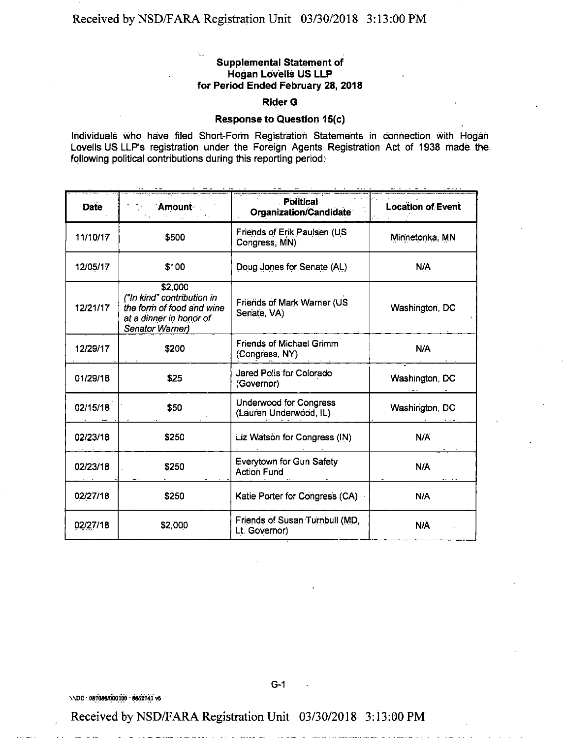#### **Supplemental Statement of Hogan Lovells US LLP for Period Ended February 28, 2018**

#### **Rider G**

#### **Response to Question 15(c)**

Individuals who have filed Short-Form Registration Statements in connection with Hogan Lovells US LLP's registration under the Foreign Agents Registration Act of 1938 made the following political contributions during this reporting period:

| <b>Date</b> | Amount                                                                                                           | Political<br>Organization/Candidate                     | <b>Location of Event</b> |  |
|-------------|------------------------------------------------------------------------------------------------------------------|---------------------------------------------------------|--------------------------|--|
| 11/10/17    | \$500                                                                                                            | Friends of Erik Paulsen (US<br>Congress, MN)            | Minnetonka MN            |  |
| 12/05/17    | \$100                                                                                                            | Doug Jones for Senate (AL)                              | N/A                      |  |
| 12/21/17    | \$2,000<br>("In kind" contribution in<br>the form of food and wine<br>at a dinner in honor of<br>Senator Warner) | Friends of Mark Warner (US<br>Senate, VA)               | Washington, DC           |  |
| 12/29/17    | \$200                                                                                                            | <b>Friends of Michael Grimm</b><br>(Congress, NY)       | N/A                      |  |
| 01/29/18    | \$25                                                                                                             | Jared Polis for Colorado<br>(Governor)                  | Washington, DC           |  |
| 02/15/18    | \$50                                                                                                             | <b>Underwood for Congress</b><br>(Lauren Underwood, IL) | Washington, DC           |  |
| 02/23/18    | \$250                                                                                                            | Liz Watson for Congress (IN)                            | N/A                      |  |
| 02/23/18    | \$250                                                                                                            | Everytown for Gun Safety<br><b>Action Fund</b>          | N/A                      |  |
| 02/27/18    | \$250                                                                                                            | Katie Porter for Congress (CA)                          | N/A                      |  |
| 02/27/18    | \$2,000                                                                                                          | Friends of Susan Turnbull (MD,<br>Lt. Governor)         | N/A                      |  |

\\DC • 087686/000100 - 8652741 v6

Received by NSD/FARA Registration Unit 03/30/2018 3:13:00 PM

G-1